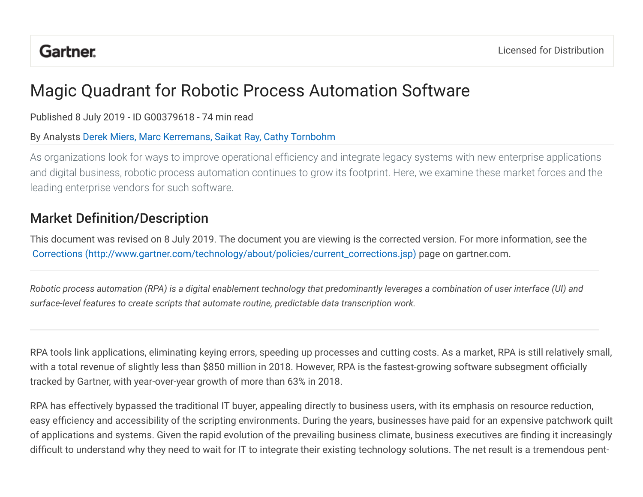# Magic Quadrant for Robotic Process Automation Software

Published 8 July 2019 - ID G00379618 - 74 min read

## By Analysts Derek Miers, Marc Kerremans, Saikat Ray, Cathy Tornbohm

As organizations look for ways to improve operational efficiency and integrate legacy systems with new enterprise applications and digital business, robotic process automation continues to grow its footprint. Here, we examine these market forces and the leading enterprise vendors for such software.

# **Market Definition/Description**

This document was revised on 8 July 2019. The document you are viewing is the corrected version. For more information, see the Corrections (http://www.gartner.com/technology/about/policies/current\_corrections.jsp) page on gartner.com.

*Robotic* process automation (RPA) is a digital enablement technology that predominantly leverages a combination of user interface (UI) and surface-level features to create scripts that automate routine, predictable data transcription work.

RPA tools link applications, eliminating keying errors, speeding up processes and cutting costs. As a market, RPA is still relatively small, with a total revenue of slightly less than \$850 million in 2018. However, RPA is the fastest-growing software subsegment officially tracked by Gartner, with year-over-year growth of more than 63% in 2018.

RPA has effectively bypassed the traditional IT buyer, appealing directly to business users, with its emphasis on resource reduction, easy efficiency and accessibility of the scripting environments. During the years, businesses have paid for an expensive patchwork quilt of applications and systems. Given the rapid evolution of the prevailing business climate, business executives are finding it increasingly difficult to understand why they need to wait for IT to integrate their existing technology solutions. The net result is a tremendous pent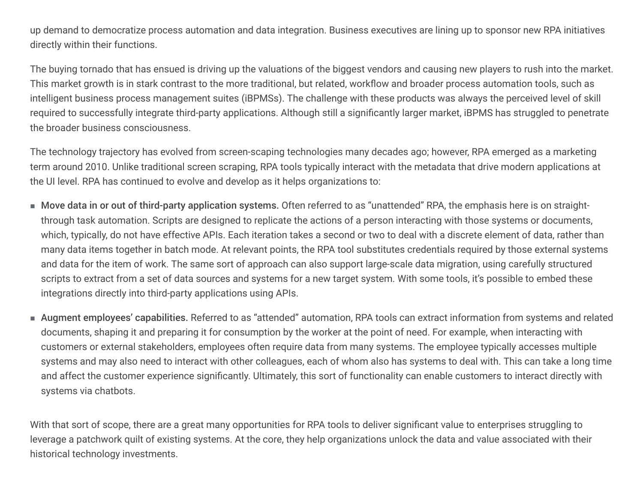up demand to democratize process automation and data integration. Business executives are lining up to sponsor new RPA initiatives directly within their functions.

The buying tornado that has ensued is driving up the valuations of the biggest vendors and causing new players to rush into the market. This market growth is in stark contrast to the more traditional, but related, workflow and broader process automation tools, such as intelligent business process management suites (iBPMSs). The challenge with these products was always the perceived level of skill required to successfully integrate third-party applications. Although still a significantly larger market, iBPMS has struggled to penetrate the broader business consciousness.

The technology trajectory has evolved from screen-scaping technologies many decades ago; however, RPA emerged as a marketing term around 2010. Unlike traditional screen scraping, RPA tools typically interact with the metadata that drive modern applications at the UI level. RPA has continued to evolve and develop as it helps organizations to:

- Move data in or out of third-party application systems. Often referred to as "unattended" RPA, the emphasis here is on straightthrough task automation. Scripts are designed to replicate the actions of a person interacting with those systems or documents, which, typically, do not have effective APIs. Each iteration takes a second or two to deal with a discrete element of data, rather than many data items together in batch mode. At relevant points, the RPA tool substitutes credentials required by those external systems and data for the item of work. The same sort of approach can also support large-scale data migration, using carefully structured scripts to extract from a set of data sources and systems for a new target system. With some tools, it's possible to embed these integrations directly into third-party applications using APIs.
- $\blacksquare$  Augment <code>employees'</code> capabilities. Referred to as "attended" automation, RPA tools can extract information from systems and related documents, shaping it and preparing it for consumption by the worker at the point of need. For example, when interacting with customers or external stakeholders, employees often require data from many systems. The employee typically accesses multiple systems and may also need to interact with other colleagues, each of whom also has systems to deal with. This can take a long time and affect the customer experience significantly. Ultimately, this sort of functionality can enable customers to interact directly with systems via chatbots.

With that sort of scope, there are a great many opportunities for RPA tools to deliver significant value to enterprises struggling to leverage a patchwork quilt of existing systems. At the core, they help organizations unlock the data and value associated with their historical technology investments.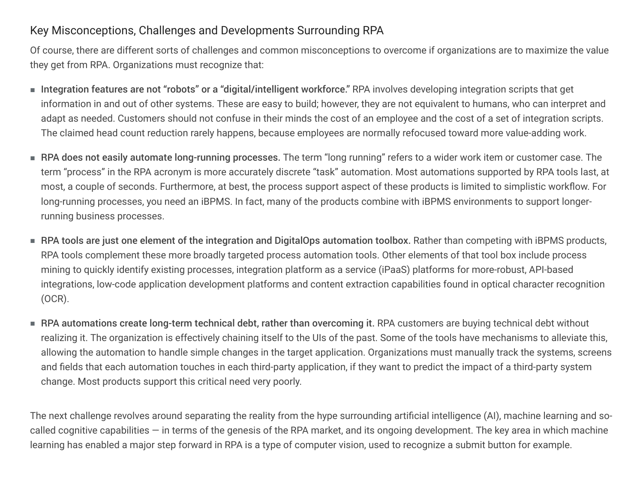## Key Misconceptions, Challenges and Developments Surrounding RPA

Of course, there are different sorts of challenges and common misconceptions to overcome if organizations are to maximize the value they get from RPA. Organizations must recognize that:

- Integration features are not "robots" or a "digital/intelligent workforce." RPA involves developing integration scripts that get information in and out of other systems. These are easy to build; however, they are not equivalent to humans, who can interpret and adapt as needed. Customers should not confuse in their minds the cost of an employee and the cost of a set of integration scripts. The claimed head count reduction rarely happens, because employees are normally refocused toward more value-adding work.
- RPA does not easily automate long-running processes. The term "long running" refers to a wider work item or customer case. The term "process" in the RPA acronym is more accurately discrete "task" automation. Most automations supported by RPA tools last, at most, a couple of seconds. Furthermore, at best, the process support aspect of these products is limited to simplistic workflow. For long-running processes, you need an iBPMS. In fact, many of the products combine with iBPMS environments to support longerrunning business processes.
- $\blacksquare$  RPA tools are just one element of the integration and DigitalOps automation toolbox. Rather than competing with iBPMS products, RPA tools complement these more broadly targeted process automation tools. Other elements of that tool box include process mining to quickly identify existing processes, integration platform as a service (iPaaS) platforms for more-robust, API-based integrations, low-code application development platforms and content extraction capabilities found in optical character recognition (OCR).
- $\blacksquare$  RPA automations create long-term technical debt, rather than overcoming it. RPA customers are buying technical debt without realizing it. The organization is effectively chaining itself to the UIs of the past. Some of the tools have mechanisms to alleviate this, allowing the automation to handle simple changes in the target application. Organizations must manually track the systems, screens and fields that each automation touches in each third-party application, if they want to predict the impact of a third-party system change. Most products support this critical need very poorly.

The next challenge revolves around separating the reality from the hype surrounding artificial intelligence (AI), machine learning and socalled cognitive capabilities  $-$  in terms of the genesis of the RPA market, and its ongoing development. The key area in which machine learning has enabled a major step forward in RPA is a type of computer vision, used to recognize a submit button for example.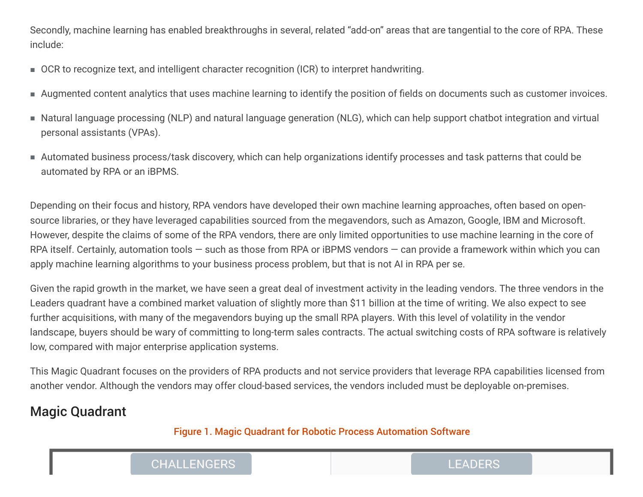Secondly, machine learning has enabled breakthroughs in several, related "add-on" areas that are tangential to the core of RPA. These include:

- OCR to recognize text, and intelligent character recognition (ICR) to interpret handwriting.
- Augmented content analytics that uses machine learning to identify the position of fields on documents such as customer invoices.
- $\blacksquare$  Natural language processing (NLP) and natural language generation (NLG), which can help support chatbot integration and virtual personal assistants (VPAs).
- $\blacksquare$  Automated business process/task discovery, which can help organizations identify processes and task patterns that could be automated by RPA or an iBPMS.

Depending on their focus and history, RPA vendors have developed their own machine learning approaches, often based on opensource libraries, or they have leveraged capabilities sourced from the megavendors, such as Amazon, Google, IBM and Microsoft. However, despite the claims of some of the RPA vendors, there are only limited opportunities to use machine learning in the core of RPA itself. Certainly, automation tools  $-$  such as those from RPA or iBPMS vendors  $-$  can provide a framework within which you can apply machine learning algorithms to your business process problem, but that is not AI in RPA per se.

Given the rapid growth in the market, we have seen a great deal of investment activity in the leading vendors. The three vendors in the Leaders quadrant have a combined market valuation of slightly more than \$11 billion at the time of writing. We also expect to see further acquisitions, with many of the megavendors buying up the small RPA players. With this level of volatility in the vendor landscape, buyers should be wary of committing to long-term sales contracts. The actual switching costs of RPA software is relatively low, compared with major enterprise application systems.

This Magic Quadrant focuses on the providers of RPA products and not service providers that leverage RPA capabilities licensed from another vendor. Although the vendors may offer cloud-based services, the vendors included must be deployable on-premises.

# **Magic Quadrant**

## Figure 1. Magic Quadrant for Robotic Process Automation Software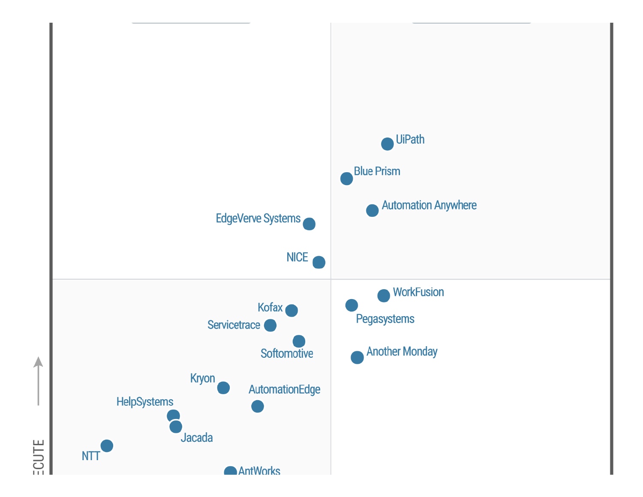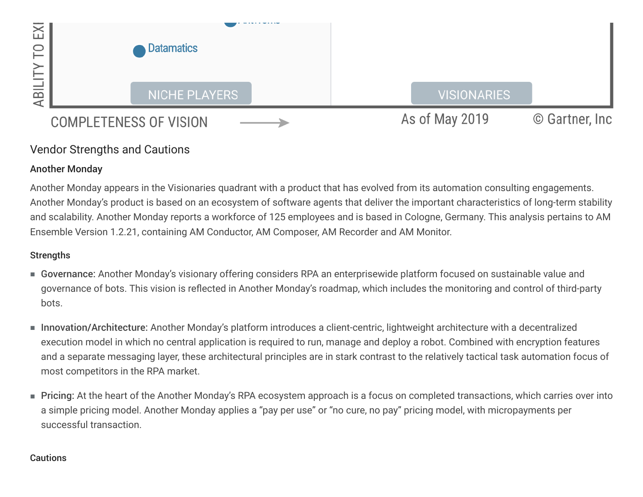

## Vendor Strengths and Cautions

## **Another Monday**

Another Monday appears in the Visionaries quadrant with a product that has evolved from its automation consulting engagements. Another Monday's product is based on an ecosystem of software agents that deliver the important characteristics of long-term stability and scalability. Another Monday reports a workforce of 125 employees and is based in Cologne, Germany. This analysis pertains to AM Ensemble Version 1.2.21, containing AM Conductor, AM Composer, AM Recorder and AM Monitor.

## **Strengths**

- Governance: Another Monday's visionary offering considers RPA an enterprisewide platform focused on sustainable value and governance of bots. This vision is reflected in Another Monday's roadmap, which includes the monitoring and control of third-party bots.
- Innovation/Architecture: Another Monday's platform introduces a client-centric, lightweight architecture with a decentralized execution model in which no central application is required to run, manage and deploy a robot. Combined with encryption features and a separate messaging layer, these architectural principles are in stark contrast to the relatively tactical task automation focus of most competitors in the RPA market.
- Pricing: At the heart of the Another Monday's RPA ecosystem approach is a focus on completed transactions, which carries over into a simple pricing model. Another Monday applies a "pay per use" or "no cure, no pay" pricing model, with micropayments per successful transaction.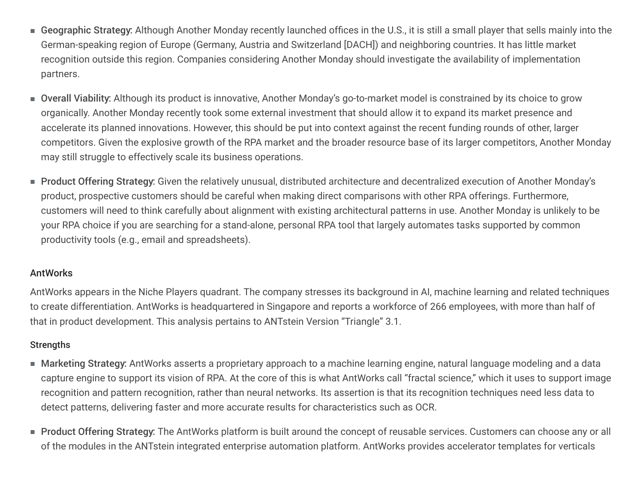- Geographic Strategy: Although Another Monday recently launched offices in the U.S., it is still a small player that sells mainly into the German-speaking region of Europe (Germany, Austria and Switzerland [DACH]) and neighboring countries. It has little market recognition outside this region. Companies considering Another Monday should investigate the availability of implementation partners.
- Overall Viability: Although its product is innovative, Another Monday's go-to-market model is constrained by its choice to grow organically. Another Monday recently took some external investment that should allow it to expand its market presence and accelerate its planned innovations. However, this should be put into context against the recent funding rounds of other, larger competitors. Given the explosive growth of the RPA market and the broader resource base of its larger competitors, Another Monday may still struggle to effectively scale its business operations.
- Product Offering Strategy: Given the relatively unusual, distributed architecture and decentralized execution of Another Monday's product, prospective customers should be careful when making direct comparisons with other RPA offerings. Furthermore, customers will need to think carefully about alignment with existing architectural patterns in use. Another Monday is unlikely to be your RPA choice if you are searching for a stand-alone, personal RPA tool that largely automates tasks supported by common productivity tools (e.g., email and spreadsheets).

## AntWorks

AntWorks appears in the Niche Players quadrant. The company stresses its background in AI, machine learning and related techniques to create differentiation. AntWorks is headquartered in Singapore and reports a workforce of 266 employees, with more than half of that in product development. This analysis pertains to ANTstein Version "Triangle" 3.1.

- $\blacksquare$  Marketing Strategy: AntWorks asserts a proprietary approach to a machine learning engine, natural language modeling and a data capture engine to support its vision of RPA. At the core of this is what AntWorks call "fractal science," which it uses to support image recognition and pattern recognition, rather than neural networks. Its assertion is that its recognition techniques need less data to detect patterns, delivering faster and more accurate results for characteristics such as OCR.
- Product Offering Strategy: The AntWorks platform is built around the concept of reusable services. Customers can choose any or all of the modules in the ANTstein integrated enterprise automation platform. AntWorks provides accelerator templates for verticals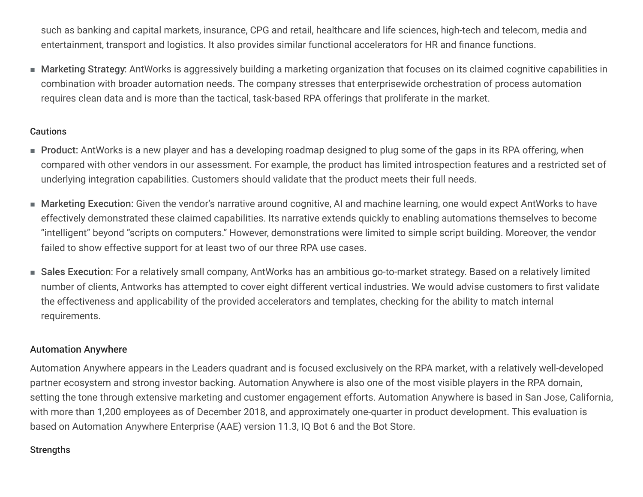such as banking and capital markets, insurance, CPG and retail, healthcare and life sciences, high-tech and telecom, media and entertainment, transport and logistics. It also provides similar functional accelerators for HR and finance functions.

■ Marketing Strategy: AntWorks is aggressively building a marketing organization that focuses on its claimed cognitive capabilities in combination with broader automation needs. The company stresses that enterprisewide orchestration of process automation requires clean data and is more than the tactical, task-based RPA offerings that proliferate in the market.

#### **Cautions**

- Product: AntWorks is a new player and has a developing roadmap designed to plug some of the gaps in its RPA offering, when compared with other vendors in our assessment. For example, the product has limited introspection features and a restricted set of underlying integration capabilities. Customers should validate that the product meets their full needs.
- Marketing Execution: Given the vendor's narrative around cognitive, AI and machine learning, one would expect AntWorks to have effectively demonstrated these claimed capabilities. Its narrative extends quickly to enabling automations themselves to become "intelligent" beyond "scripts on computers." However, demonstrations were limited to simple script building. Moreover, the vendor failed to show effective support for at least two of our three RPA use cases.
- Sales Execution: For a relatively small company, AntWorks has an ambitious go-to-market strategy. Based on a relatively limited number of clients, Antworks has attempted to cover eight different vertical industries. We would advise customers to first validate the effectiveness and applicability of the provided accelerators and templates, checking for the ability to match internal requirements.

## Automation Anywhere

Automation Anywhere appears in the Leaders quadrant and is focused exclusively on the RPA market, with a relatively well-developed partner ecosystem and strong investor backing. Automation Anywhere is also one of the most visible players in the RPA domain, setting the tone through extensive marketing and customer engagement efforts. Automation Anywhere is based in San Jose, California, with more than 1,200 employees as of December 2018, and approximately one-quarter in product development. This evaluation is based on Automation Anywhere Enterprise (AAE) version 11.3, IQ Bot 6 and the Bot Store.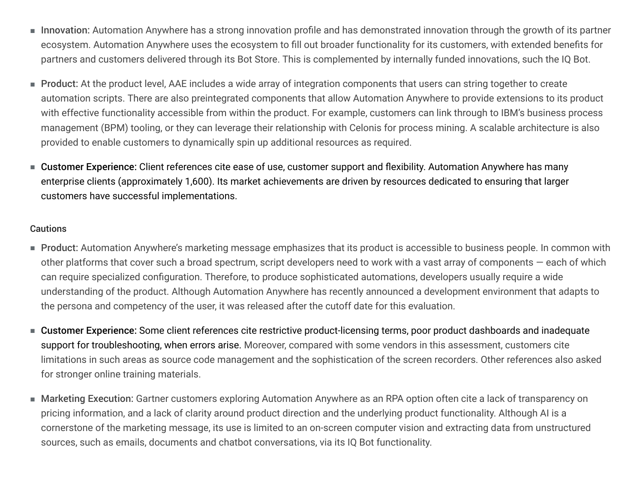- Innovation: Automation Anywhere has a strong innovation profile and has demonstrated innovation through the growth of its partner ecosystem. Automation Anywhere uses the ecosystem to fill out broader functionality for its customers, with extended benefits for partners and customers delivered through its Bot Store. This is complemented by internally funded innovations, such the IQ Bot.
- Product: At the product level, AAE includes a wide array of integration components that users can string together to create automation scripts. There are also preintegrated components that allow Automation Anywhere to provide extensions to its product with effective functionality accessible from within the product. For example, customers can link through to IBM's business process management (BPM) tooling, or they can leverage their relationship with Celonis for process mining. A scalable architecture is also provided to enable customers to dynamically spin up additional resources as required.
- Customer Experience: Client references cite ease of use, customer support and flexibility. Automation Anywhere has many enterprise clients (approximately 1,600). Its market achievements are driven by resources dedicated to ensuring that larger customers have successful implementations.

- Product: Automation Anywhere's marketing message emphasizes that its product is accessible to business people. In common with other platforms that cover such a broad spectrum, script developers need to work with a vast array of components  $-$  each of which can require specialized configuration. Therefore, to produce sophisticated automations, developers usually require a wide understanding of the product. Although Automation Anywhere has recently announced a development environment that adapts to the persona and competency of the user, it was released after the cutoff date for this evaluation.
- Customer Experience: Some client references cite restrictive product-licensing terms, poor product dashboards and inadequate support for troubleshooting, when errors arise. Moreover, compared with some vendors in this assessment, customers cite limitations in such areas as source code management and the sophistication of the screen recorders. Other references also asked for stronger online training materials.
- Marketing Execution: Gartner customers exploring Automation Anywhere as an RPA option often cite a lack of transparency on pricing information, and a lack of clarity around product direction and the underlying product functionality. Although AI is a cornerstone of the marketing message, its use is limited to an on-screen computer vision and extracting data from unstructured sources, such as emails, documents and chatbot conversations, via its IQ Bot functionality.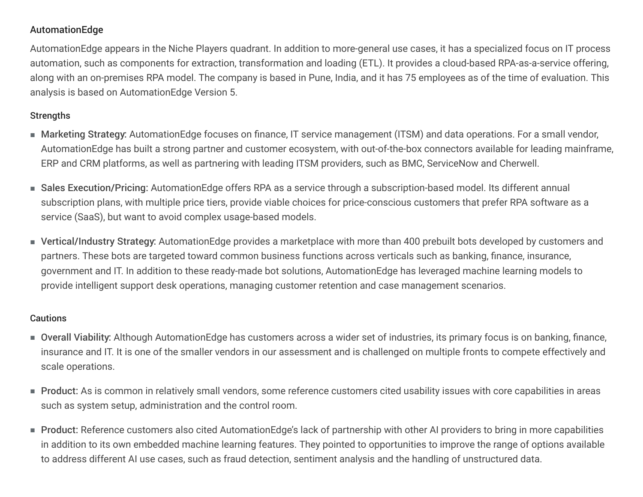## AutomationEdge

AutomationEdge appears in the Niche Players quadrant. In addition to more-general use cases, it has a specialized focus on IT process automation, such as components for extraction, transformation and loading (ETL). It provides a cloud-based RPA-as-a-service offering, along with an on-premises RPA model. The company is based in Pune, India, and it has 75 employees as of the time of evaluation. This analysis is based on AutomationEdge Version 5.

## **Strengths**

- Marketing Strategy: AutomationEdge focuses on finance, IT service management (ITSM) and data operations. For a small vendor, AutomationEdge has built a strong partner and customer ecosystem, with out-of-the-box connectors available for leading mainframe, ERP and CRM platforms, as well as partnering with leading ITSM providers, such as BMC, ServiceNow and Cherwell.
- Sales Execution/Pricing: AutomationEdge offers RPA as a service through a subscription-based model. Its different annual subscription plans, with multiple price tiers, provide viable choices for price-conscious customers that prefer RPA software as a service (SaaS), but want to avoid complex usage-based models.
- Vertical/Industry Strategy: AutomationEdge provides a marketplace with more than 400 prebuilt bots developed by customers and partners. These bots are targeted toward common business functions across verticals such as banking, finance, insurance, government and IT. In addition to these ready-made bot solutions, AutomationEdge has leveraged machine learning models to provide intelligent support desk operations, managing customer retention and case management scenarios.

- Overall Viability: Although AutomationEdge has customers across a wider set of industries, its primary focus is on banking, finance, insurance and IT. It is one of the smaller vendors in our assessment and is challenged on multiple fronts to compete effectively and scale operations.
- Product: As is common in relatively small vendors, some reference customers cited usability issues with core capabilities in areas such as system setup, administration and the control room.
- Product: Reference customers also cited AutomationEdge's lack of partnership with other AI providers to bring in more capabilities in addition to its own embedded machine learning features. They pointed to opportunities to improve the range of options available to address different AI use cases, such as fraud detection, sentiment analysis and the handling of unstructured data.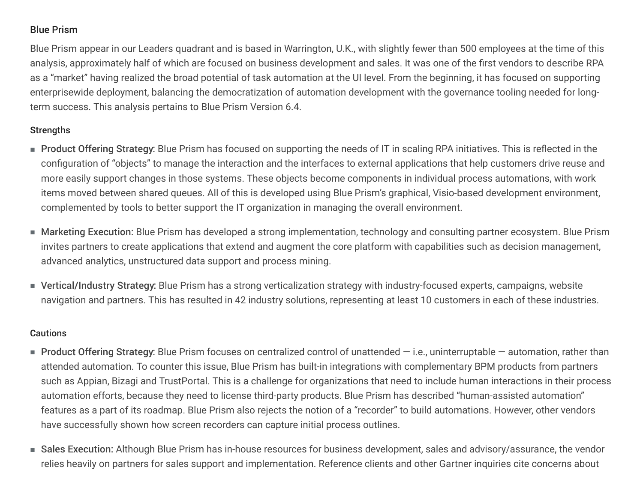## Blue Prism

Blue Prism appear in our Leaders quadrant and is based in Warrington, U.K., with slightly fewer than 500 employees at the time of this analysis, approximately half of which are focused on business development and sales. It was one of the first vendors to describe RPA as a "market" having realized the broad potential of task automation at the UI level. From the beginning, it has focused on supporting enterprisewide deployment, balancing the democratization of automation development with the governance tooling needed for longterm success. This analysis pertains to Blue Prism Version 6.4.

## **Strengths**

- Product Offering Strategy: Blue Prism has focused on supporting the needs of IT in scaling RPA initiatives. This is reflected in the configuration of "objects" to manage the interaction and the interfaces to external applications that help customers drive reuse and more easily support changes in those systems. These objects become components in individual process automations, with work items moved between shared queues. All of this is developed using Blue Prism's graphical, Visio-based development environment, complemented by tools to better support the IT organization in managing the overall environment.
- $\blacksquare$  Marketing Execution: Blue Prism has developed a strong implementation, technology and consulting partner ecosystem. Blue Prism invites partners to create applications that extend and augment the core platform with capabilities such as decision management, advanced analytics, unstructured data support and process mining.
- Vertical/Industry Strategy: Blue Prism has a strong verticalization strategy with industry-focused experts, campaigns, website navigation and partners. This has resulted in 42 industry solutions, representing at least 10 customers in each of these industries.

- $\blacksquare$  Product Offering Strategy: Blue Prism focuses on centralized control of unattended i.e., uninterruptable automation, rather than attended automation. To counter this issue, Blue Prism has built-in integrations with complementary BPM products from partners such as Appian, Bizagi and TrustPortal. This is a challenge for organizations that need to include human interactions in their process automation efforts, because they need to license third-party products. Blue Prism has described "human-assisted automation" features as a part of its roadmap. Blue Prism also rejects the notion of a "recorder" to build automations. However, other vendors have successfully shown how screen recorders can capture initial process outlines.
- Sales Execution: Although Blue Prism has in-house resources for business development, sales and advisory/assurance, the vendor relies heavily on partners for sales support and implementation. Reference clients and other Gartner inquiries cite concerns about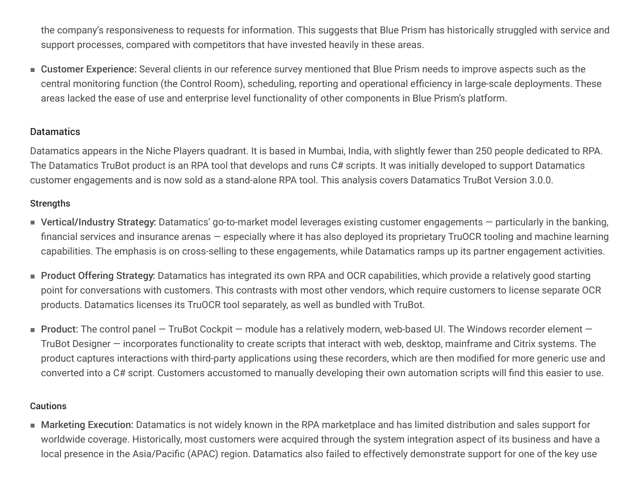the company's responsiveness to requests for information. This suggests that Blue Prism has historically struggled with service and support processes, compared with competitors that have invested heavily in these areas.

■ Customer Experience: Several clients in our reference survey mentioned that Blue Prism needs to improve aspects such as the central monitoring function (the Control Room), scheduling, reporting and operational efficiency in large-scale deployments. These areas lacked the ease of use and enterprise level functionality of other components in Blue Prism's platform.

#### **Datamatics**

Datamatics appears in the Niche Players quadrant. It is based in Mumbai, India, with slightly fewer than 250 people dedicated to RPA. The Datamatics TruBot product is an RPA tool that develops and runs C# scripts. It was initially developed to support Datamatics customer engagements and is now sold as a stand-alone RPA tool. This analysis covers Datamatics TruBot Version 3.0.0.

## **Strengths**

- Vertical/Industry Strategy: Datamatics' go-to-market model leverages existing customer engagements particularly in the banking, financial services and insurance arenas — especially where it has also deployed its proprietary TruOCR tooling and machine learning capabilities. The emphasis is on cross-selling to these engagements, while Datamatics ramps up its partner engagement activities.
- Product Offering Strategy: Datamatics has integrated its own RPA and OCR capabilities, which provide a relatively good starting point for conversations with customers. This contrasts with most other vendors, which require customers to license separate OCR products. Datamatics licenses its TruOCR tool separately, as well as bundled with TruBot.
- $\blacksquare$  Product: The control panel TruBot Cockpit module has a relatively modern, web-based UI. The Windows recorder element TruBot Designer – incorporates functionality to create scripts that interact with web, desktop, mainframe and Citrix systems. The product captures interactions with third-party applications using these recorders, which are then modified for more generic use and converted into a C# script. Customers accustomed to manually developing their own automation scripts will find this easier to use.

#### **Cautions**

■ Marketing Execution: Datamatics is not widely known in the RPA marketplace and has limited distribution and sales support for worldwide coverage. Historically, most customers were acquired through the system integration aspect of its business and have a local presence in the Asia/Pacific (APAC) region. Datamatics also failed to effectively demonstrate support for one of the key use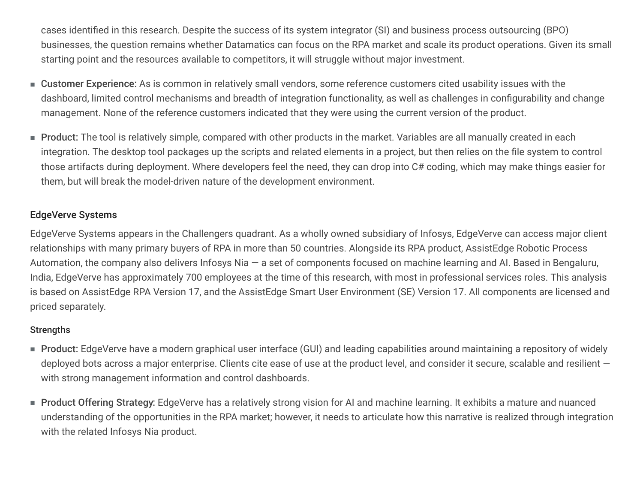cases identified in this research. Despite the success of its system integrator (SI) and business process outsourcing (BPO) businesses, the question remains whether Datamatics can focus on the RPA market and scale its product operations. Given its small starting point and the resources available to competitors, it will struggle without major investment.

- Customer Experience: As is common in relatively small vendors, some reference customers cited usability issues with the dashboard, limited control mechanisms and breadth of integration functionality, as well as challenges in configurability and change management. None of the reference customers indicated that they were using the current version of the product.
- Product: The tool is relatively simple, compared with other products in the market. Variables are all manually created in each integration. The desktop tool packages up the scripts and related elements in a project, but then relies on the file system to control those artifacts during deployment. Where developers feel the need, they can drop into C# coding, which may make things easier for them, but will break the model-driven nature of the development environment.

## EdgeVerve Systems

EdgeVerve Systems appears in the Challengers quadrant. As a wholly owned subsidiary of Infosys, EdgeVerve can access major client relationships with many primary buyers of RPA in more than 50 countries. Alongside its RPA product, AssistEdge Robotic Process Automation, the company also delivers Infosys Nia  $-$  a set of components focused on machine learning and AI. Based in Bengaluru, India, EdgeVerve has approximately 700 employees at the time of this research, with most in professional services roles. This analysis is based on AssistEdge RPA Version 17, and the AssistEdge Smart User Environment (SE) Version 17. All components are licensed and priced separately.

- $\blacksquare$  Product: EdgeVerve have a modern graphical user interface (GUI) and leading capabilities around maintaining a repository of widely deployed bots across a major enterprise. Clients cite ease of use at the product level, and consider it secure, scalable and resilient with strong management information and control dashboards.
- Product Offering Strategy: EdgeVerve has a relatively strong vision for AI and machine learning. It exhibits a mature and nuanced understanding of the opportunities in the RPA market; however, it needs to articulate how this narrative is realized through integration with the related Infosys Nia product.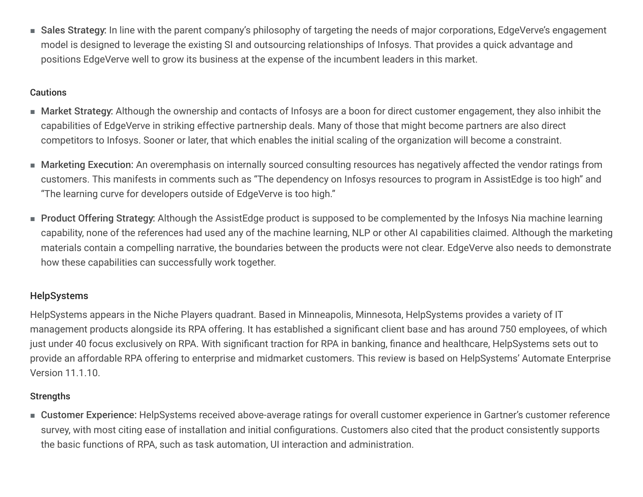■ Sales Strategy: In line with the parent company's philosophy of targeting the needs of major corporations, EdgeVerve's engagement model is designed to leverage the existing SI and outsourcing relationships of Infosys. That provides a quick advantage and positions EdgeVerve well to grow its business at the expense of the incumbent leaders in this market.

#### **Cautions**

- Market Strategy: Although the ownership and contacts of Infosys are a boon for direct customer engagement, they also inhibit the capabilities of EdgeVerve in striking effective partnership deals. Many of those that might become partners are also direct competitors to Infosys. Sooner or later, that which enables the initial scaling of the organization will become a constraint.
- Marketing Execution: An overemphasis on internally sourced consulting resources has negatively affected the vendor ratings from customers. This manifests in comments such as "The dependency on Infosys resources to program in AssistEdge is too high" and "The learning curve for developers outside of EdgeVerve is too high."
- Product Offering Strategy: Although the AssistEdge product is supposed to be complemented by the Infosys Nia machine learning capability, none of the references had used any of the machine learning, NLP or other AI capabilities claimed. Although the marketing materials contain a compelling narrative, the boundaries between the products were not clear. EdgeVerve also needs to demonstrate how these capabilities can successfully work together.

## HelpSystems

HelpSystems appears in the Niche Players quadrant. Based in Minneapolis, Minnesota, HelpSystems provides a variety of IT management products alongside its RPA offering. It has established a significant client base and has around 750 employees, of which just under 40 focus exclusively on RPA. With significant traction for RPA in banking, finance and healthcare, HelpSystems sets out to provide an affordable RPA offering to enterprise and midmarket customers. This review is based on HelpSystems' Automate Enterprise Version 11.1.10.

## **Strengths**

■ Customer Experience: HelpSystems received above-average ratings for overall customer experience in Gartner's customer reference survey, with most citing ease of installation and initial configurations. Customers also cited that the product consistently supports the basic functions of RPA, such as task automation, UI interaction and administration.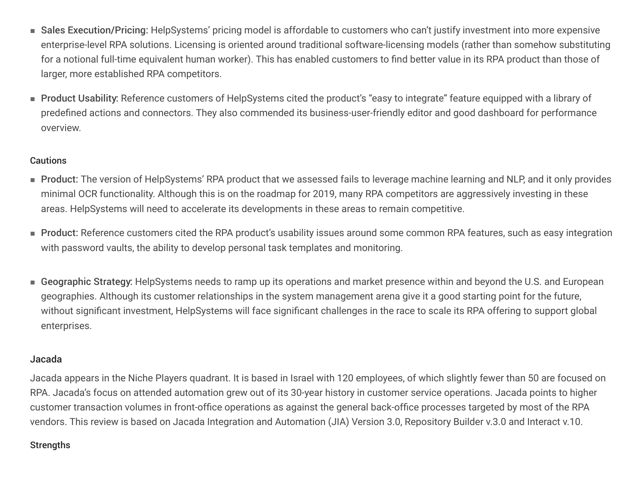- Sales Execution/Pricing: HelpSystems' pricing model is affordable to customers who can't justify investment into more expensive enterprise-level RPA solutions. Licensing is oriented around traditional software-licensing models (rather than somehow substituting for a notional full-time equivalent human worker). This has enabled customers to find better value in its RPA product than those of larger, more established RPA competitors.
- Product Usability: Reference customers of HelpSystems cited the product's "easy to integrate" feature equipped with a library of predefined actions and connectors. They also commended its business-user-friendly editor and good dashboard for performance overview.

#### **Cautions**

- Product: The version of HelpSystems' RPA product that we assessed fails to leverage machine learning and NLP, and it only provides minimal OCR functionality. Although this is on the roadmap for 2019, many RPA competitors are aggressively investing in these areas. HelpSystems will need to accelerate its developments in these areas to remain competitive.
- Product: Reference customers cited the RPA product's usability issues around some common RPA features, such as easy integration with password vaults, the ability to develop personal task templates and monitoring.
- Geographic Strategy: HelpSystems needs to ramp up its operations and market presence within and beyond the U.S. and European geographies. Although its customer relationships in the system management arena give it a good starting point for the future, without significant investment, HelpSystems will face significant challenges in the race to scale its RPA offering to support global enterprises.

#### Jacada

Jacada appears in the Niche Players quadrant. It is based in Israel with 120 employees, of which slightly fewer than 50 are focused on RPA. Jacada's focus on attended automation grew out of its 30-year history in customer service operations. Jacada points to higher customer transaction volumes in front-office operations as against the general back-office processes targeted by most of the RPA vendors. This review is based on Jacada Integration and Automation (JIA) Version 3.0, Repository Builder v.3.0 and Interact v.10.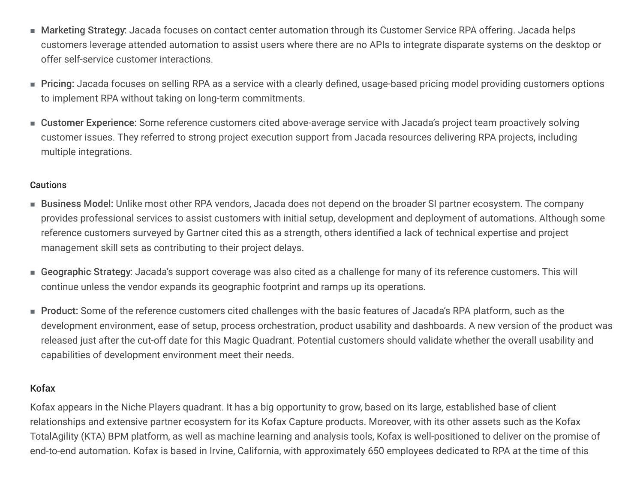- Marketing Strategy: Jacada focuses on contact center automation through its Customer Service RPA offering. Jacada helps customers leverage attended automation to assist users where there are no APIs to integrate disparate systems on the desktop or offer self-service customer interactions.
- Pricing: Jacada focuses on selling RPA as a service with a clearly defined, usage-based pricing model providing customers options to implement RPA without taking on long-term commitments.
- Customer Experience: Some reference customers cited above-average service with Jacada's project team proactively solving customer issues. They referred to strong project execution support from Jacada resources delivering RPA projects, including multiple integrations.

#### Cautions

- Business Model: Unlike most other RPA vendors, Jacada does not depend on the broader SI partner ecosystem. The company provides professional services to assist customers with initial setup, development and deployment of automations. Although some reference customers surveyed by Gartner cited this as a strength, others identified a lack of technical expertise and project management skill sets as contributing to their project delays.
- Geographic Strategy: Jacada's support coverage was also cited as a challenge for many of its reference customers. This will continue unless the vendor expands its geographic footprint and ramps up its operations.
- $\blacksquare$  Product: Some of the reference customers cited challenges with the basic features of Jacada's RPA platform, such as the development environment, ease of setup, process orchestration, product usability and dashboards. A new version of the product was released just after the cut-off date for this Magic Quadrant. Potential customers should validate whether the overall usability and capabilities of development environment meet their needs.

#### Kofax

Kofax appears in the Niche Players quadrant. It has a big opportunity to grow, based on its large, established base of client relationships and extensive partner ecosystem for its Kofax Capture products. Moreover, with its other assets such as the Kofax TotalAgility (KTA) BPM platform, as well as machine learning and analysis tools, Kofax is well-positioned to deliver on the promise of end-to-end automation. Kofax is based in Irvine, California, with approximately 650 employees dedicated to RPA at the time of this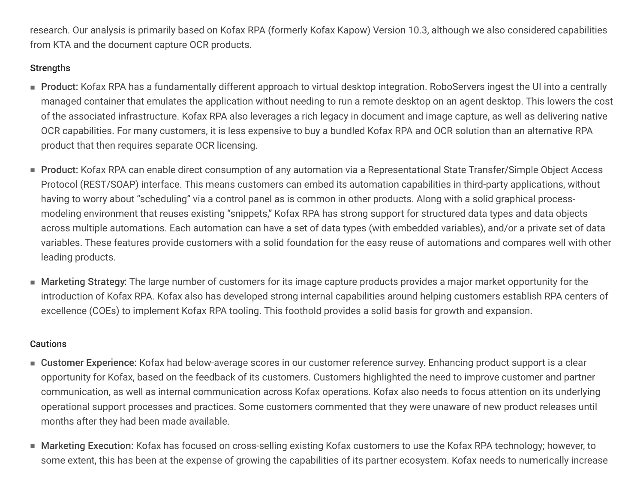research. Our analysis is primarily based on Kofax RPA (formerly Kofax Kapow) Version 10.3, although we also considered capabilities from KTA and the document capture OCR products.

## **Strengths**

- Product: Kofax RPA has a fundamentally different approach to virtual desktop integration. RoboServers ingest the UI into a centrally managed container that emulates the application without needing to run a remote desktop on an agent desktop. This lowers the cost of the associated infrastructure. Kofax RPA also leverages a rich legacy in document and image capture, as well as delivering native OCR capabilities. For many customers, it is less expensive to buy a bundled Kofax RPA and OCR solution than an alternative RPA product that then requires separate OCR licensing.
- Product: Kofax RPA can enable direct consumption of any automation via a Representational State Transfer/Simple Object Access Protocol (REST/SOAP) interface. This means customers can embed its automation capabilities in third-party applications, without having to worry about "scheduling" via a control panel as is common in other products. Along with a solid graphical processmodeling environment that reuses existing "snippets," Kofax RPA has strong support for structured data types and data objects across multiple automations. Each automation can have a set of data types (with embedded variables), and/or a private set of data variables. These features provide customers with a solid foundation for the easy reuse of automations and compares well with other leading products.
- $\blacksquare$  Marketing Strategy: The large number of customers for its image capture products provides a major market opportunity for the introduction of Kofax RPA. Kofax also has developed strong internal capabilities around helping customers establish RPA centers of excellence (COEs) to implement Kofax RPA tooling. This foothold provides a solid basis for growth and expansion.

- Customer Experience: Kofax had below-average scores in our customer reference survey. Enhancing product support is a clear opportunity for Kofax, based on the feedback of its customers. Customers highlighted the need to improve customer and partner communication, as well as internal communication across Kofax operations. Kofax also needs to focus attention on its underlying operational support processes and practices. Some customers commented that they were unaware of new product releases until months after they had been made available.
- Marketing Execution: Kofax has focused on cross-selling existing Kofax customers to use the Kofax RPA technology; however, to some extent, this has been at the expense of growing the capabilities of its partner ecosystem. Kofax needs to numerically increase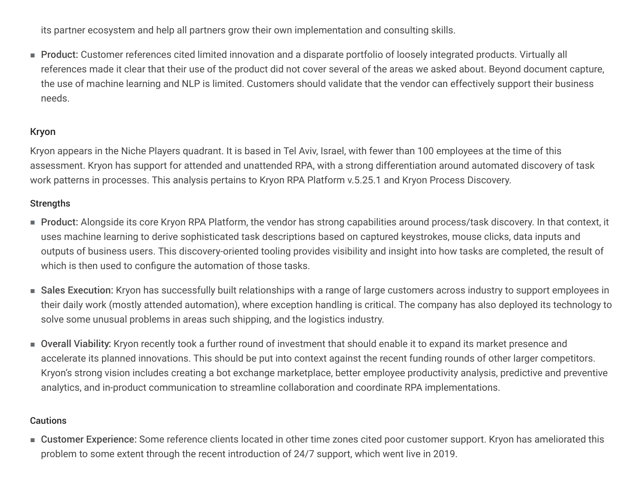its partner ecosystem and help all partners grow their own implementation and consulting skills.

■ Product: Customer references cited limited innovation and a disparate portfolio of loosely integrated products. Virtually all references made it clear that their use of the product did not cover several of the areas we asked about. Beyond document capture, the use of machine learning and NLP is limited. Customers should validate that the vendor can effectively support their business needs.

#### Kryon

Kryon appears in the Niche Players quadrant. It is based in Tel Aviv, Israel, with fewer than 100 employees at the time of this assessment. Kryon has support for attended and unattended RPA, with a strong differentiation around automated discovery of task work patterns in processes. This analysis pertains to Kryon RPA Platform v.5.25.1 and Kryon Process Discovery.

#### **Strengths**

- Product: Alongside its core Kryon RPA Platform, the vendor has strong capabilities around process/task discovery. In that context, it uses machine learning to derive sophisticated task descriptions based on captured keystrokes, mouse clicks, data inputs and outputs of business users. This discovery-oriented tooling provides visibility and insight into how tasks are completed, the result of which is then used to configure the automation of those tasks.
- $\blacksquare$  Sales Execution: Kryon has successfully built relationships with a range of large customers across industry to support employees in their daily work (mostly attended automation), where exception handling is critical. The company has also deployed its technology to solve some unusual problems in areas such shipping, and the logistics industry.
- Overall Viability: Kryon recently took a further round of investment that should enable it to expand its market presence and accelerate its planned innovations. This should be put into context against the recent funding rounds of other larger competitors. Kryon's strong vision includes creating a bot exchange marketplace, better employee productivity analysis, predictive and preventive analytics, and in-product communication to streamline collaboration and coordinate RPA implementations.

#### Cautions

■ Customer Experience: Some reference clients located in other time zones cited poor customer support. Kryon has ameliorated this problem to some extent through the recent introduction of 24/7 support, which went live in 2019.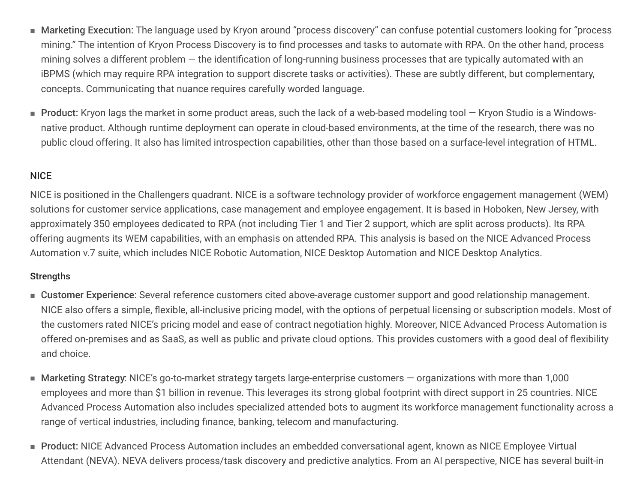- Marketing Execution: The language used by Kryon around "process discovery" can confuse potential customers looking for "process mining." The intention of Kryon Process Discovery is to find processes and tasks to automate with RPA. On the other hand, process mining solves a different problem  $-$  the identification of long-running business processes that are typically automated with an iBPMS (which may require RPA integration to support discrete tasks or activities). These are subtly different, but complementary, concepts. Communicating that nuance requires carefully worded language.
- Product: Kryon lags the market in some product areas, such the lack of a web-based modeling tool Kryon Studio is a Windowsnative product. Although runtime deployment can operate in cloud-based environments, at the time of the research, there was no public cloud offering. It also has limited introspection capabilities, other than those based on a surface-level integration of HTML.

## **NICE**

NICE is positioned in the Challengers quadrant. NICE is a software technology provider of workforce engagement management (WEM) solutions for customer service applications, case management and employee engagement. It is based in Hoboken, New Jersey, with approximately 350 employees dedicated to RPA (not including Tier 1 and Tier 2 support, which are split across products). Its RPA offering augments its WEM capabilities, with an emphasis on attended RPA. This analysis is based on the NICE Advanced Process Automation v.7 suite, which includes NICE Robotic Automation, NICE Desktop Automation and NICE Desktop Analytics.

- Customer Experience: Several reference customers cited above-average customer support and good relationship management. NICE also offers a simple, flexible, all-inclusive pricing model, with the options of perpetual licensing or subscription models. Most of the customers rated NICE's pricing model and ease of contract negotiation highly. Moreover, NICE Advanced Process Automation is offered on-premises and as SaaS, as well as public and private cloud options. This provides customers with a good deal of flexibility and choice.
- $\blacksquare$  Marketing Strategy: NICE's go-to-market strategy targets large-enterprise customers organizations with more than 1,000 employees and more than \$1 billion in revenue. This leverages its strong global footprint with direct support in 25 countries. NICE Advanced Process Automation also includes specialized attended bots to augment its workforce management functionality across a range of vertical industries, including finance, banking, telecom and manufacturing.
- Product: NICE Advanced Process Automation includes an embedded conversational agent, known as NICE Employee Virtual Attendant (NEVA). NEVA delivers process/task discovery and predictive analytics. From an AI perspective, NICE has several built-in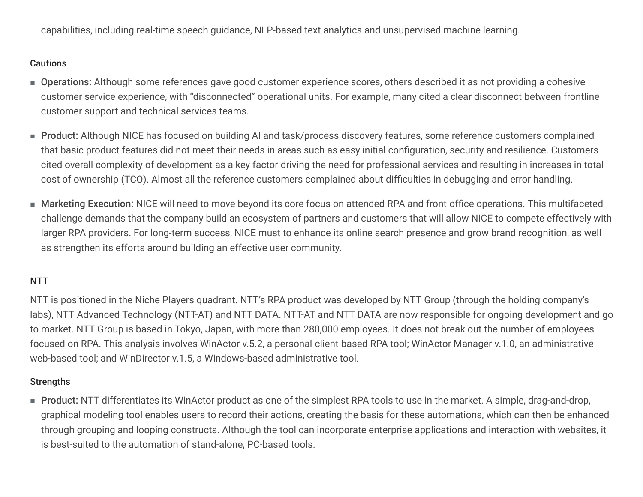capabilities, including real-time speech quidance, NLP-based text analytics and unsupervised machine learning.

#### **Cautions**

- Operations: Although some references gave good customer experience scores, others described it as not providing a cohesive customer service experience, with "disconnected" operational units. For example, many cited a clear disconnect between frontline customer support and technical services teams.
- Product: Although NICE has focused on building AI and task/process discovery features, some reference customers complained that basic product features did not meet their needs in areas such as easy initial configuration, security and resilience. Customers cited overall complexity of development as a key factor driving the need for professional services and resulting in increases in total cost of ownership (TCO). Almost all the reference customers complained about difficulties in debugging and error handling.
- Marketing Execution: NICE will need to move beyond its core focus on attended RPA and front-office operations. This multifaceted challenge demands that the company build an ecosystem of partners and customers that will allow NICE to compete effectively with larger RPA providers. For long-term success, NICE must to enhance its online search presence and grow brand recognition, as well as strengthen its efforts around building an effective user community.

## NTT

NTT is positioned in the Niche Players quadrant. NTT's RPA product was developed by NTT Group (through the holding company's labs), NTT Advanced Technology (NTT-AT) and NTT DATA. NTT-AT and NTT DATA are now responsible for ongoing development and go to market. NTT Group is based in Tokyo, Japan, with more than 280,000 employees. It does not break out the number of employees focused on RPA. This analysis involves WinActor v.5.2, a personal-client-based RPA tool; WinActor Manager v.1.0, an administrative web-based tool; and WinDirector v.1.5, a Windows-based administrative tool.

#### **Strengths**

■ Product: NTT differentiates its WinActor product as one of the simplest RPA tools to use in the market. A simple, drag-and-drop, graphical modeling tool enables users to record their actions, creating the basis for these automations, which can then be enhanced through grouping and looping constructs. Although the tool can incorporate enterprise applications and interaction with websites, it is best-suited to the automation of stand-alone, PC-based tools.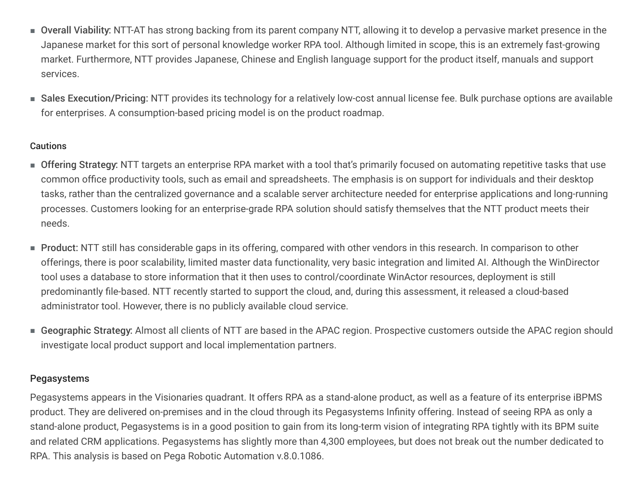- Overall Viability: NTT-AT has strong backing from its parent company NTT, allowing it to develop a pervasive market presence in the Japanese market for this sort of personal knowledge worker RPA tool. Although limited in scope, this is an extremely fast-growing market. Furthermore, NTT provides Japanese, Chinese and English language support for the product itself, manuals and support services.
- Sales Execution/Pricing: NTT provides its technology for a relatively low-cost annual license fee. Bulk purchase options are available for enterprises. A consumption-based pricing model is on the product roadmap.

#### **Cautions**

- Offering Strategy: NTT targets an enterprise RPA market with a tool that's primarily focused on automating repetitive tasks that use common office productivity tools, such as email and spreadsheets. The emphasis is on support for individuals and their desktop tasks, rather than the centralized governance and a scalable server architecture needed for enterprise applications and long-running processes. Customers looking for an enterprise-grade RPA solution should satisfy themselves that the NTT product meets their needs.
- $\blacksquare$  Product: NTT still has considerable gaps in its offering, compared with other vendors in this research. In comparison to other offerings, there is poor scalability, limited master data functionality, very basic integration and limited AI. Although the WinDirector tool uses a database to store information that it then uses to control/coordinate WinActor resources, deployment is still predominantly file-based. NTT recently started to support the cloud, and, during this assessment, it released a cloud-based administrator tool. However, there is no publicly available cloud service.
- $\blacksquare$  Geographic Strategy: Almost all clients of NTT are based in the APAC region. Prospective customers outside the APAC region should investigate local product support and local implementation partners.

#### Pegasystems

Pegasystems appears in the Visionaries quadrant. It offers RPA as a stand-alone product, as well as a feature of its enterprise iBPMS product. They are delivered on-premises and in the cloud through its Pegasystems Infinity offering. Instead of seeing RPA as only a stand-alone product, Pegasystems is in a good position to gain from its long-term vision of integrating RPA tightly with its BPM suite and related CRM applications. Pegasystems has slightly more than 4,300 employees, but does not break out the number dedicated to RPA. This analysis is based on Pega Robotic Automation v.8.0.1086.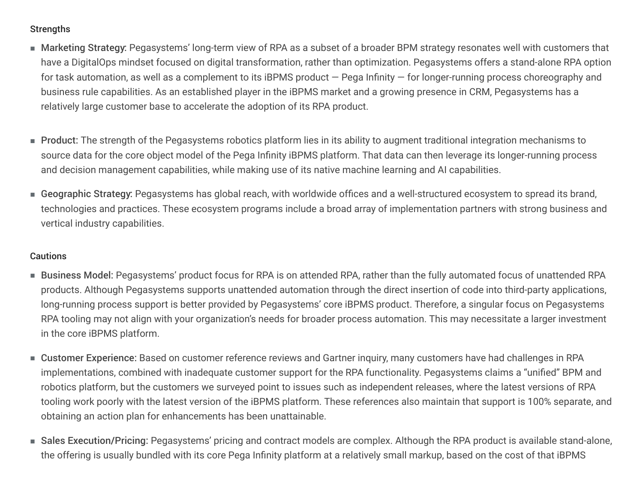## **Strengths**

- Marketing Strategy: Pegasystems' long-term view of RPA as a subset of a broader BPM strategy resonates well with customers that have a DigitalOps mindset focused on digital transformation, rather than optimization. Pegasystems offers a stand-alone RPA option for task automation, as well as a complement to its iBPMS product  $-$  Pega Infinity  $-$  for longer-running process choreography and business rule capabilities. As an established player in the iBPMS market and a growing presence in CRM, Pegasystems has a relatively large customer base to accelerate the adoption of its RPA product.
- Product: The strength of the Pegasystems robotics platform lies in its ability to augment traditional integration mechanisms to source data for the core object model of the Pega Infinity iBPMS platform. That data can then leverage its longer-running process and decision management capabilities, while making use of its native machine learning and AI capabilities.
- Geographic Strategy: Pegasystems has global reach, with worldwide offices and a well-structured ecosystem to spread its brand, technologies and practices. These ecosystem programs include a broad array of implementation partners with strong business and vertical industry capabilities.

- $\blacksquare$  Business Model: Pegasystems' product focus for RPA is on attended RPA, rather than the fully automated focus of unattended RPA products. Although Pegasystems supports unattended automation through the direct insertion of code into third-party applications, long-running process support is better provided by Pegasystems' core iBPMS product. Therefore, a singular focus on Pegasystems RPA tooling may not align with your organization's needs for broader process automation. This may necessitate a larger investment in the core iBPMS platform.
- Customer Experience: Based on customer reference reviews and Gartner inquiry, many customers have had challenges in RPA implementations, combined with inadequate customer support for the RPA functionality. Pegasystems claims a "unified" BPM and robotics platform, but the customers we surveyed point to issues such as independent releases, where the latest versions of RPA tooling work poorly with the latest version of the iBPMS platform. These references also maintain that support is 100% separate, and obtaining an action plan for enhancements has been unattainable.
- Sales Execution/Pricing: Pegasystems' pricing and contract models are complex. Although the RPA product is available stand-alone, the offering is usually bundled with its core Pega Infinity platform at a relatively small markup, based on the cost of that iBPMS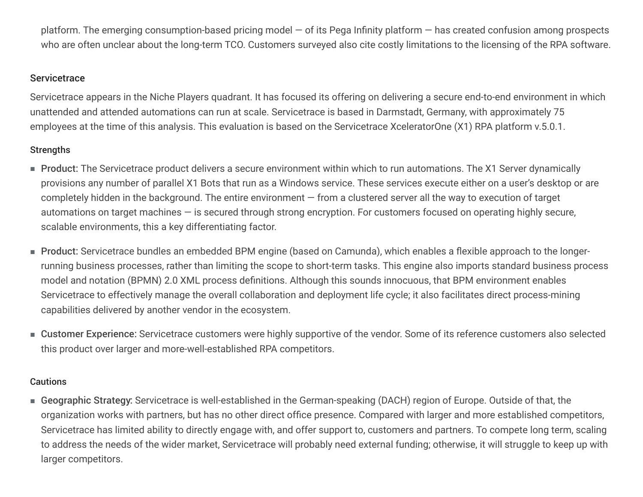platform. The emerging consumption-based pricing model  $-$  of its Pega Infinity platform  $-$  has created confusion among prospects who are often unclear about the long-term TCO. Customers surveyed also cite costly limitations to the licensing of the RPA software.

#### **Servicetrace**

Servicetrace appears in the Niche Players quadrant. It has focused its offering on delivering a secure end-to-end environment in which unattended and attended automations can run at scale. Servicetrace is based in Darmstadt, Germany, with approximately 75 employees at the time of this analysis. This evaluation is based on the Servicetrace XceleratorOne (X1) RPA platform v.5.0.1.

## **Strengths**

- Product: The Servicetrace product delivers a secure environment within which to run automations. The X1 Server dynamically provisions any number of parallel X1 Bots that run as a Windows service. These services execute either on a user's desktop or are completely hidden in the background. The entire environment  $-$  from a clustered server all the way to execution of target automations on target machines  $-$  is secured through strong encryption. For customers focused on operating highly secure, scalable environments, this a key differentiating factor.
- $\blacksquare$  Product: Servicetrace bundles an embedded BPM engine (based on Camunda), which enables a flexible approach to the longerrunning business processes, rather than limiting the scope to short-term tasks. This engine also imports standard business process model and notation (BPMN) 2.0 XML process definitions. Although this sounds innocuous, that BPM environment enables Servicetrace to effectively manage the overall collaboration and deployment life cycle; it also facilitates direct process-mining capabilities delivered by another vendor in the ecosystem.
- Customer Experience: Servicetrace customers were highly supportive of the vendor. Some of its reference customers also selected this product over larger and more-well-established RPA competitors.

## **Cautions**

■ Geographic Strategy: Servicetrace is well-established in the German-speaking (DACH) region of Europe. Outside of that, the organization works with partners, but has no other direct office presence. Compared with larger and more established competitors, Servicetrace has limited ability to directly engage with, and offer support to, customers and partners. To compete long term, scaling to address the needs of the wider market, Servicetrace will probably need external funding; otherwise, it will struggle to keep up with larger competitors.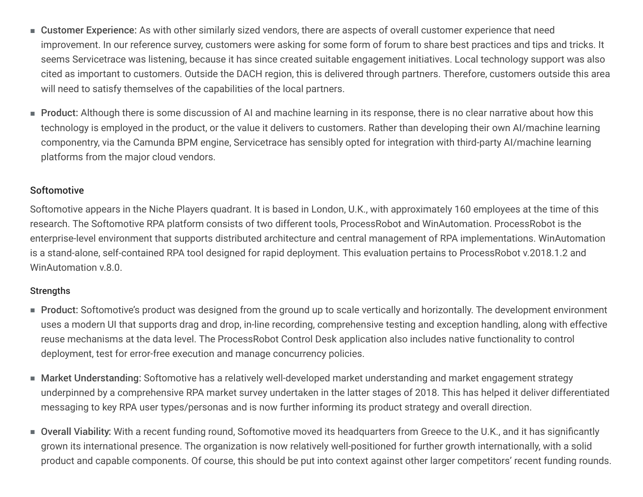- Customer Experience: As with other similarly sized vendors, there are aspects of overall customer experience that need improvement. In our reference survey, customers were asking for some form of forum to share best practices and tips and tricks. It seems Servicetrace was listening, because it has since created suitable engagement initiatives. Local technology support was also cited as important to customers. Outside the DACH region, this is delivered through partners. Therefore, customers outside this area will need to satisfy themselves of the capabilities of the local partners.
- Product: Although there is some discussion of AI and machine learning in its response, there is no clear narrative about how this technology is employed in the product, or the value it delivers to customers. Rather than developing their own AI/machine learning componentry, via the Camunda BPM engine, Servicetrace has sensibly opted for integration with third-party AI/machine learning platforms from the major cloud vendors.

#### **Softomotive**

Softomotive appears in the Niche Players quadrant. It is based in London, U.K., with approximately 160 employees at the time of this research. The Softomotive RPA platform consists of two different tools, ProcessRobot and WinAutomation. ProcessRobot is the enterprise-level environment that supports distributed architecture and central management of RPA implementations. WinAutomation is a stand-alone, self-contained RPA tool designed for rapid deployment. This evaluation pertains to ProcessRobot v.2018.1.2 and WinAutomation v.8.0.

- Product: Softomotive's product was designed from the ground up to scale vertically and horizontally. The development environment uses a modern UI that supports drag and drop, in-line recording, comprehensive testing and exception handling, along with effective reuse mechanisms at the data level. The ProcessRobot Control Desk application also includes native functionality to control deployment, test for error-free execution and manage concurrency policies.
- Market Understanding: Softomotive has a relatively well-developed market understanding and market engagement strategy underpinned by a comprehensive RPA market survey undertaken in the latter stages of 2018. This has helped it deliver differentiated messaging to key RPA user types/personas and is now further informing its product strategy and overall direction.
- Overall Viability: With a recent funding round, Softomotive moved its headquarters from Greece to the U.K., and it has significantly grown its international presence. The organization is now relatively well-positioned for further growth internationally, with a solid product and capable components. Of course, this should be put into context against other larger competitors' recent funding rounds.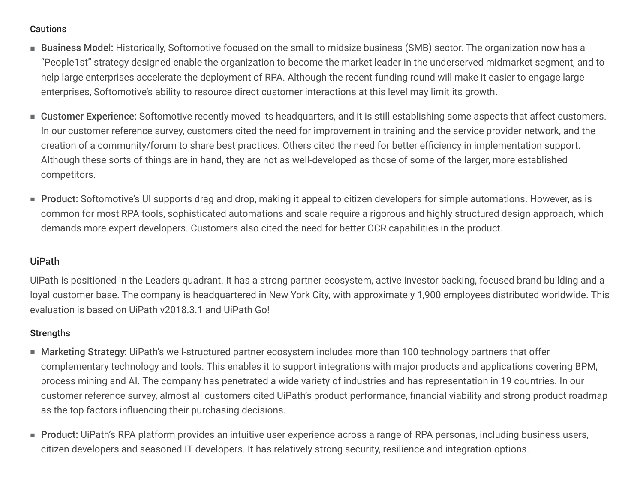#### Cautions

- Business Model: Historically, Softomotive focused on the small to midsize business (SMB) sector. The organization now has a "People1st" strategy designed enable the organization to become the market leader in the underserved midmarket segment, and to help large enterprises accelerate the deployment of RPA. Although the recent funding round will make it easier to engage large enterprises, Softomotive's ability to resource direct customer interactions at this level may limit its growth.
- Customer Experience: Softomotive recently moved its headquarters, and it is still establishing some aspects that affect customers. In our customer reference survey, customers cited the need for improvement in training and the service provider network, and the creation of a community/forum to share best practices. Others cited the need for better efficiency in implementation support. Although these sorts of things are in hand, they are not as well-developed as those of some of the larger, more established competitors.
- Product: Softomotive's UI supports drag and drop, making it appeal to citizen developers for simple automations. However, as is common for most RPA tools, sophisticated automations and scale require a rigorous and highly structured design approach, which demands more expert developers. Customers also cited the need for better OCR capabilities in the product.

#### UiPath

UiPath is positioned in the Leaders quadrant. It has a strong partner ecosystem, active investor backing, focused brand building and a loyal customer base. The company is headquartered in New York City, with approximately 1,900 employees distributed worldwide. This evaluation is based on UiPath v2018.3.1 and UiPath Go!

- $\blacksquare$  Marketing Strategy: UiPath's well-structured partner ecosystem includes more than 100 technology partners that offer complementary technology and tools. This enables it to support integrations with major products and applications covering BPM, process mining and AI. The company has penetrated a wide variety of industries and has representation in 19 countries. In our customer reference survey, almost all customers cited UiPath's product performance, financial viability and strong product roadmap as the top factors influencing their purchasing decisions.
- Product: UiPath's RPA platform provides an intuitive user experience across a range of RPA personas, including business users, citizen developers and seasoned IT developers. It has relatively strong security, resilience and integration options.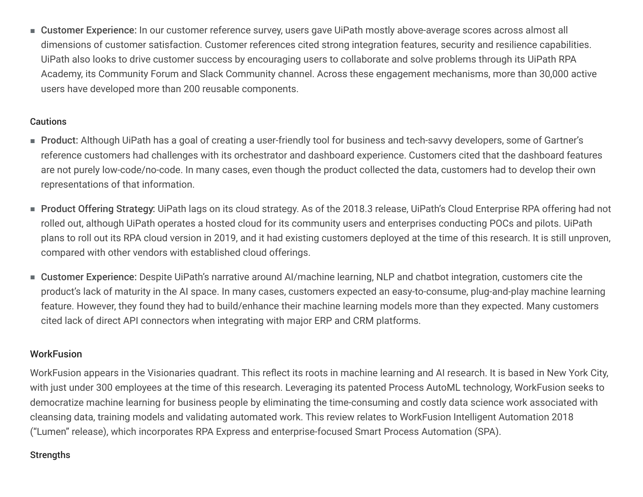■ Customer Experience: In our customer reference survey, users gave UiPath mostly above-average scores across almost all dimensions of customer satisfaction. Customer references cited strong integration features, security and resilience capabilities. UiPath also looks to drive customer success by encouraging users to collaborate and solve problems through its UiPath RPA Academy, its Community Forum and Slack Community channel. Across these engagement mechanisms, more than 30,000 active users have developed more than 200 reusable components.

#### **Cautions**

- Product: Although UiPath has a goal of creating a user-friendly tool for business and tech-savvy developers, some of Gartner's reference customers had challenges with its orchestrator and dashboard experience. Customers cited that the dashboard features are not purely low-code/no-code. In many cases, even though the product collected the data, customers had to develop their own representations of that information.
- Product Offering Strategy: UiPath lags on its cloud strategy. As of the 2018.3 release, UiPath's Cloud Enterprise RPA offering had not rolled out, although UiPath operates a hosted cloud for its community users and enterprises conducting POCs and pilots. UiPath plans to roll out its RPA cloud version in 2019, and it had existing customers deployed at the time of this research. It is still unproven, compared with other vendors with established cloud offerings.
- Customer Experience: Despite UiPath's narrative around AI/machine learning, NLP and chatbot integration, customers cite the product's lack of maturity in the AI space. In many cases, customers expected an easy-to-consume, plug-and-play machine learning feature. However, they found they had to build/enhance their machine learning models more than they expected. Many customers cited lack of direct API connectors when integrating with major ERP and CRM platforms.

## **WorkFusion**

WorkFusion appears in the Visionaries quadrant. This reflect its roots in machine learning and AI research. It is based in New York City, with just under 300 employees at the time of this research. Leveraging its patented Process AutoML technology, WorkFusion seeks to democratize machine learning for business people by eliminating the time-consuming and costly data science work associated with cleansing data, training models and validating automated work. This review relates to WorkFusion Intelligent Automation 2018 ("Lumen" release), which incorporates RPA Express and enterprise-focused Smart Process Automation (SPA).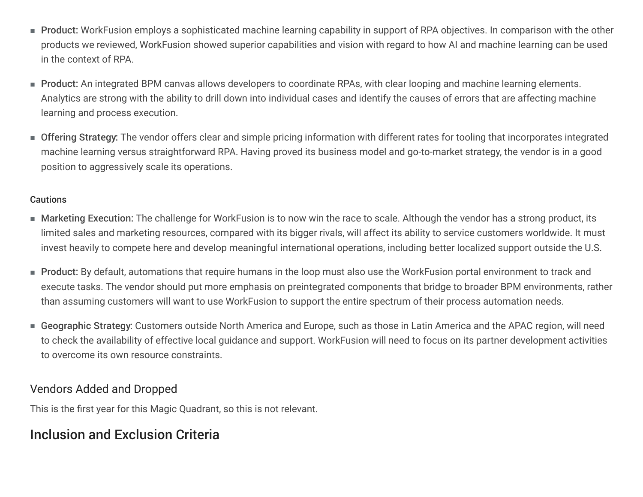- Product: WorkFusion employs a sophisticated machine learning capability in support of RPA objectives. In comparison with the other products we reviewed, WorkFusion showed superior capabilities and vision with regard to how AI and machine learning can be used in the context of RPA.
- Product: An integrated BPM canvas allows developers to coordinate RPAs, with clear looping and machine learning elements. Analytics are strong with the ability to drill down into individual cases and identify the causes of errors that are affecting machine learning and process execution.
- Offering Strategy: The vendor offers clear and simple pricing information with different rates for tooling that incorporates integrated machine learning versus straightforward RPA. Having proved its business model and go-to-market strategy, the vendor is in a good position to aggressively scale its operations.

#### **Cautions**

- Marketing Execution: The challenge for WorkFusion is to now win the race to scale. Although the vendor has a strong product, its limited sales and marketing resources, compared with its bigger rivals, will affect its ability to service customers worldwide. It must invest heavily to compete here and develop meaningful international operations, including better localized support outside the U.S.
- Product: By default, automations that require humans in the loop must also use the WorkFusion portal environment to track and execute tasks. The vendor should put more emphasis on preintegrated components that bridge to broader BPM environments, rather than assuming customers will want to use WorkFusion to support the entire spectrum of their process automation needs.
- $\bullet$  Geographic Strategy: Customers outside North America and Europe, such as those in Latin America and the APAC region, will need to check the availability of effective local guidance and support. WorkFusion will need to focus on its partner development activities to overcome its own resource constraints.

## Vendors Added and Dropped

This is the first year for this Magic Quadrant, so this is not relevant.

# Inclusion and Exclusion Criteria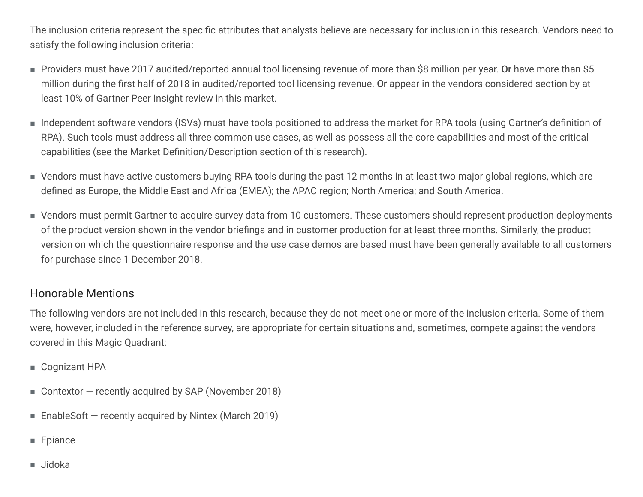The inclusion criteria represent the specific attributes that analysts believe are necessary for inclusion in this research. Vendors need to satisfy the following inclusion criteria:

- $\blacksquare$  Providers must have 2017 audited/reported annual tool licensing revenue of more than \$8 million per year. Or have more than \$5 million during the first half of 2018 in audited/reported tool licensing revenue. Or appear in the vendors considered section by at least 10% of Gartner Peer Insight review in this market.
- Independent software vendors (ISVs) must have tools positioned to address the market for RPA tools (using Gartner's definition of RPA). Such tools must address all three common use cases, as well as possess all the core capabilities and most of the critical capabilities (see the Market Definition/Description section of this research).
- Vendors must have active customers buying RPA tools during the past 12 months in at least two major global regions, which are defined as Europe, the Middle East and Africa (EMEA); the APAC region; North America; and South America.
- Vendors must permit Gartner to acquire survey data from 10 customers. These customers should represent production deployments of the product version shown in the vendor briefings and in customer production for at least three months. Similarly, the product version on which the questionnaire response and the use case demos are based must have been generally available to all customers for purchase since 1 December 2018.

## Honorable Mentions

The following vendors are not included in this research, because they do not meet one or more of the inclusion criteria. Some of them were, however, included in the reference survey, are appropriate for certain situations and, sometimes, compete against the vendors covered in this Magic Quadrant:

- Cognizant HPA
- Contextor  $-$  recently acquired by SAP (November 2018)
- EnableSoft  $-$  recently acquired by Nintex (March 2019)
- Epiance
- Jidoka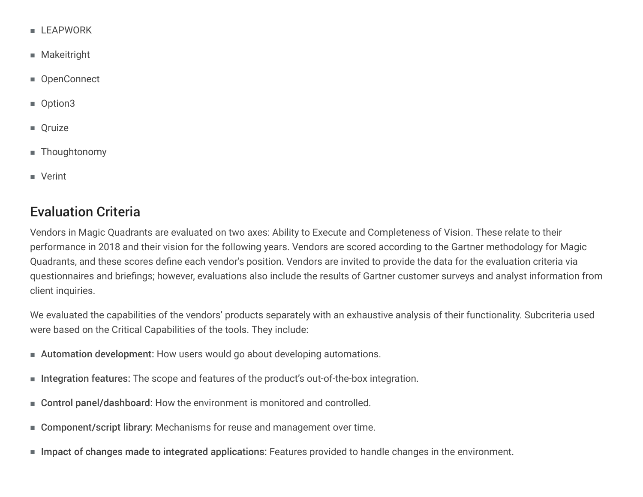- LEAPWORK
- Makeitright
- OpenConnect
- Option3
- Oruize
- Thoughtonomy
- Verint

# Evaluation Criteria

Vendors in Magic Quadrants are evaluated on two axes: Ability to Execute and Completeness of Vision. These relate to their performance in 2018 and their vision for the following years. Vendors are scored according to the Gartner methodology for Magic Quadrants, and these scores define each vendor's position. Vendors are invited to provide the data for the evaluation criteria via questionnaires and briefings; however, evaluations also include the results of Gartner customer surveys and analyst information from client inquiries.

We evaluated the capabilities of the vendors' products separately with an exhaustive analysis of their functionality. Subcriteria used were based on the Critical Capabilities of the tools. They include:

- Automation development: How users would go about developing automations.
- Integration features: The scope and features of the product's out-of-the-box integration.
- Control panel/dashboard: How the environment is monitored and controlled.
- Component/script library: Mechanisms for reuse and management over time.
- Impact of changes made to integrated applications: Features provided to handle changes in the environment.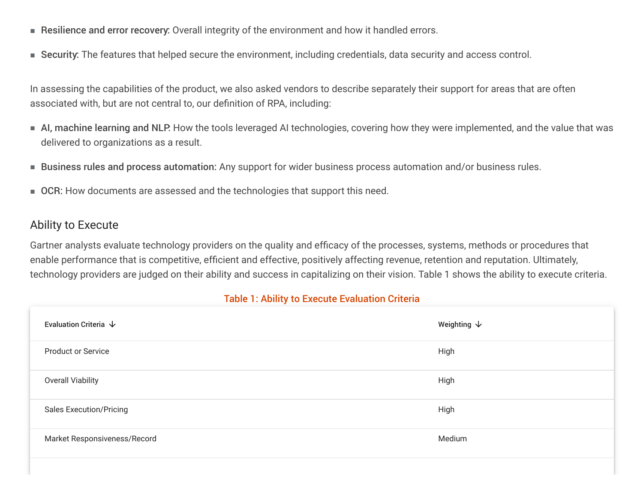- Resilience and error recovery: Overall integrity of the environment and how it handled errors.
- Security: The features that helped secure the environment, including credentials, data security and access control.

In assessing the capabilities of the product, we also asked vendors to describe separately their support for areas that are often associated with, but are not central to, our definition of RPA, including:

- AI, machine learning and NLP. How the tools leveraged AI technologies, covering how they were implemented, and the value that was delivered to organizations as a result.
- Business rules and process automation: Any support for wider business process automation and/or business rules.
- OCR: How documents are assessed and the technologies that support this need.

## Ability to Execute

Gartner analysts evaluate technology providers on the quality and efficacy of the processes, systems, methods or procedures that enable performance that is competitive, efficient and effective, positively affecting revenue, retention and reputation. Ultimately, technology providers are judged on their ability and success in capitalizing on their vision. Table 1 shows the ability to execute criteria.

#### Table 1: Ability to Execute Evaluation Criteria

| Evaluation Criteria $\,\,\downarrow$ | Weighting $\downarrow$ |
|--------------------------------------|------------------------|
| <b>Product or Service</b>            | High                   |
| <b>Overall Viability</b>             | High                   |
| <b>Sales Execution/Pricing</b>       | High                   |
| Market Responsiveness/Record         | Medium                 |
|                                      |                        |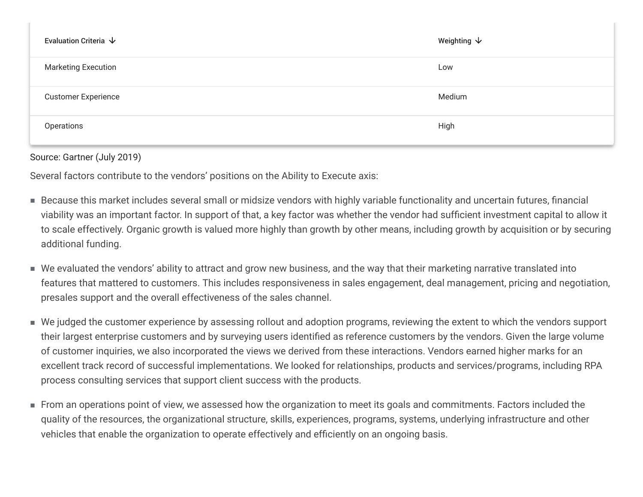| Evaluation Criteria $\,\,\downarrow\,$ | Weighting $\bm{\downarrow}$ |
|----------------------------------------|-----------------------------|
| <b>Marketing Execution</b>             | Low                         |
| <b>Customer Experience</b>             | Medium                      |
| Operations                             | High                        |

Source: Gartner (July 2019)

Several factors contribute to the vendors' positions on the Ability to Execute axis:

- Because this market includes several small or midsize vendors with highly variable functionality and uncertain futures, financial viability was an important factor. In support of that, a key factor was whether the vendor had sufficient investment capital to allow it to scale effectively. Organic growth is valued more highly than growth by other means, including growth by acquisition or by securing additional funding.
- $\blacksquare$  We evaluated the vendors' ability to attract and grow new business, and the way that their marketing narrative translated into features that mattered to customers. This includes responsiveness in sales engagement, deal management, pricing and negotiation, presales support and the overall effectiveness of the sales channel.
- $\blacksquare$  We judged the customer experience by assessing rollout and adoption programs, reviewing the extent to which the vendors support their largest enterprise customers and by surveying users identified as reference customers by the vendors. Given the large volume of customer inquiries, we also incorporated the views we derived from these interactions. Vendors earned higher marks for an excellent track record of successful implementations. We looked for relationships, products and services/programs, including RPA process consulting services that support client success with the products.
- From an operations point of view, we assessed how the organization to meet its goals and commitments. Factors included the quality of the resources, the organizational structure, skills, experiences, programs, systems, underlying infrastructure and other vehicles that enable the organization to operate effectively and efficiently on an ongoing basis.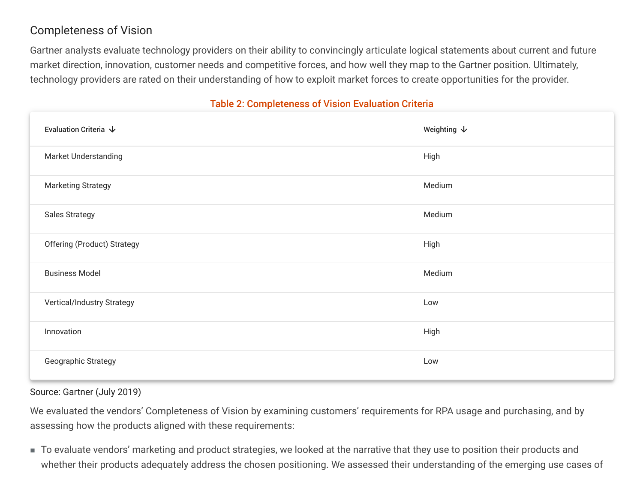# Completeness of Vision

Gartner analysts evaluate technology providers on their ability to convincingly articulate logical statements about current and future market direction, innovation, customer needs and competitive forces, and how well they map to the Gartner position. Ultimately, technology providers are rated on their understanding of how to exploit market forces to create opportunities for the provider.

## **Table 2: Completeness of Vision Evaluation Criteria**

| Evaluation Criteria $\,\,\downarrow$ | Weighting $\downarrow$ |
|--------------------------------------|------------------------|
| Market Understanding                 | High                   |
| <b>Marketing Strategy</b>            | Medium                 |
| <b>Sales Strategy</b>                | Medium                 |
| <b>Offering (Product) Strategy</b>   | High                   |
| <b>Business Model</b>                | Medium                 |
| Vertical/Industry Strategy           | Low                    |
| Innovation                           | High                   |
| Geographic Strategy                  | Low                    |

Source: Gartner (July 2019)

We evaluated the vendors' Completeness of Vision by examining customers' requirements for RPA usage and purchasing, and by assessing how the products aligned with these requirements:

■ To evaluate vendors' marketing and product strategies, we looked at the narrative that they use to position their products and whether their products adequately address the chosen positioning. We assessed their understanding of the emerging use cases of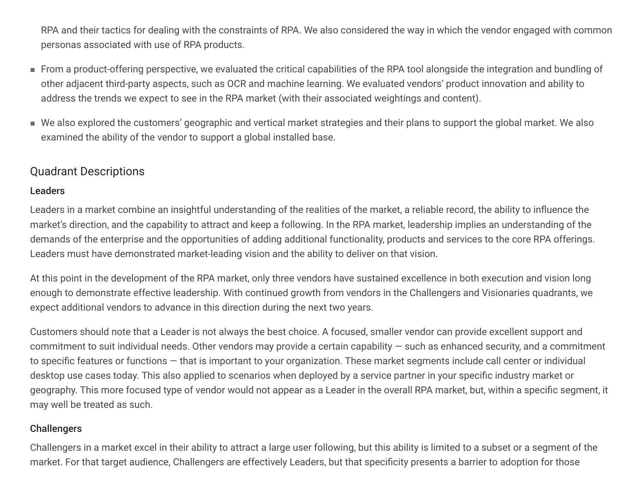RPA and their tactics for dealing with the constraints of RPA. We also considered the way in which the vendor engaged with common personas associated with use of RPA products.

- From a product-offering perspective, we evaluated the critical capabilities of the RPA tool alongside the integration and bundling of other adjacent third-party aspects, such as OCR and machine learning. We evaluated vendors' product innovation and ability to address the trends we expect to see in the RPA market (with their associated weightings and content).
- We also explored the customers' geographic and vertical market strategies and their plans to support the global market. We also examined the ability of the vendor to support a global installed base.

## Quadrant Descriptions

## Leaders

Leaders in a market combine an insightful understanding of the realities of the market, a reliable record, the ability to influence the market's direction, and the capability to attract and keep a following. In the RPA market, leadership implies an understanding of the demands of the enterprise and the opportunities of adding additional functionality, products and services to the core RPA offerings. Leaders must have demonstrated market-leading vision and the ability to deliver on that vision.

At this point in the development of the RPA market, only three vendors have sustained excellence in both execution and vision long enough to demonstrate effective leadership. With continued growth from vendors in the Challengers and Visionaries quadrants, we expect additional vendors to advance in this direction during the next two years.

Customers should note that a Leader is not always the best choice. A focused, smaller vendor can provide excellent support and commitment to suit individual needs. Other vendors may provide a certain capability  $-$  such as enhanced security, and a commitment to specific features or functions  $-$  that is important to your organization. These market segments include call center or individual desktop use cases today. This also applied to scenarios when deployed by a service partner in your specific industry market or geography. This more focused type of vendor would not appear as a Leader in the overall RPA market, but, within a specific segment, it may well be treated as such.

## **Challengers**

Challengers in a market excel in their ability to attract a large user following, but this ability is limited to a subset or a segment of the market. For that target audience, Challengers are effectively Leaders, but that specificity presents a barrier to adoption for those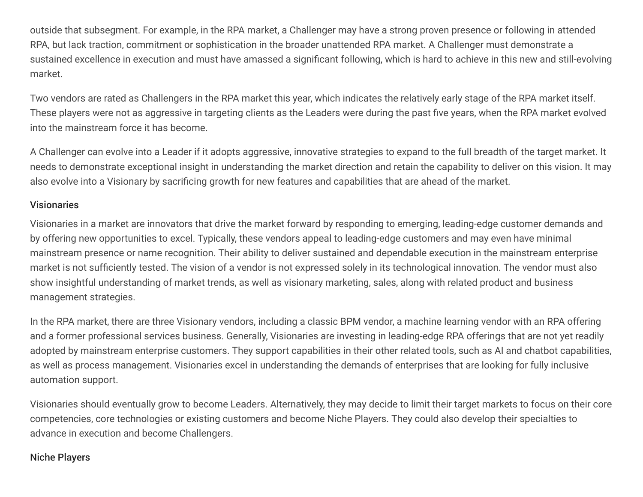outside that subsegment. For example, in the RPA market, a Challenger may have a strong proven presence or following in attended RPA, but lack traction, commitment or sophistication in the broader unattended RPA market. A Challenger must demonstrate a sustained excellence in execution and must have amassed a significant following, which is hard to achieve in this new and still-evolving market.

Two vendors are rated as Challengers in the RPA market this year, which indicates the relatively early stage of the RPA market itself. These players were not as aggressive in targeting clients as the Leaders were during the past five years, when the RPA market evolved into the mainstream force it has become.

A Challenger can evolve into a Leader if it adopts aggressive, innovative strategies to expand to the full breadth of the target market. It needs to demonstrate exceptional insight in understanding the market direction and retain the capability to deliver on this vision. It may also evolve into a Visionary by sacrificing growth for new features and capabilities that are ahead of the market.

#### **Visionaries**

Visionaries in a market are innovators that drive the market forward by responding to emerging, leading-edge customer demands and by offering new opportunities to excel. Typically, these vendors appeal to leading-edge customers and may even have minimal mainstream presence or name recognition. Their ability to deliver sustained and dependable execution in the mainstream enterprise market is not sufficiently tested. The vision of a vendor is not expressed solely in its technological innovation. The vendor must also show insightful understanding of market trends, as well as visionary marketing, sales, along with related product and business management strategies.

In the RPA market, there are three Visionary vendors, including a classic BPM vendor, a machine learning vendor with an RPA offering and a former professional services business. Generally, Visionaries are investing in leading-edge RPA offerings that are not yet readily adopted by mainstream enterprise customers. They support capabilities in their other related tools, such as AI and chatbot capabilities, as well as process management. Visionaries excel in understanding the demands of enterprises that are looking for fully inclusive automation support.

Visionaries should eventually grow to become Leaders. Alternatively, they may decide to limit their target markets to focus on their core competencies, core technologies or existing customers and become Niche Players. They could also develop their specialties to advance in execution and become Challengers.

#### Niche Players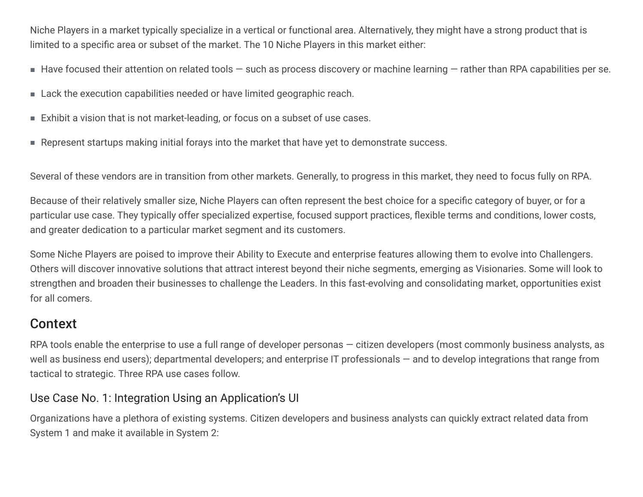Niche Players in a market typically specialize in a vertical or functional area. Alternatively, they might have a strong product that is limited to a specific area or subset of the market. The 10 Niche Players in this market either:

- $\blacksquare$  Have focused their attention on related tools  $-$  such as process discovery or machine learning  $-$  rather than RPA capabilities per se.
- Lack the execution capabilities needed or have limited geographic reach.
- Exhibit a vision that is not market-leading, or focus on a subset of use cases.
- Represent startups making initial forays into the market that have yet to demonstrate success.

Several of these vendors are in transition from other markets. Generally, to progress in this market, they need to focus fully on RPA.

Because of their relatively smaller size, Niche Players can often represent the best choice for a specific category of buyer, or for a particular use case. They typically offer specialized expertise, focused support practices, flexible terms and conditions, lower costs, and greater dedication to a particular market segment and its customers.

Some Niche Players are poised to improve their Ability to Execute and enterprise features allowing them to evolve into Challengers. Others will discover innovative solutions that attract interest beyond their niche segments, emerging as Visionaries. Some will look to strengthen and broaden their businesses to challenge the Leaders. In this fast-evolving and consolidating market, opportunities exist for all comers.

# Context

RPA tools enable the enterprise to use a full range of developer personas  $-$  citizen developers (most commonly business analysts, as well as business end users); departmental developers; and enterprise IT professionals – and to develop integrations that range from tactical to strategic. Three RPA use cases follow.

# Use Case No. 1: Integration Using an Application's UI

Organizations have a plethora of existing systems. Citizen developers and business analysts can quickly extract related data from System 1 and make it available in System 2: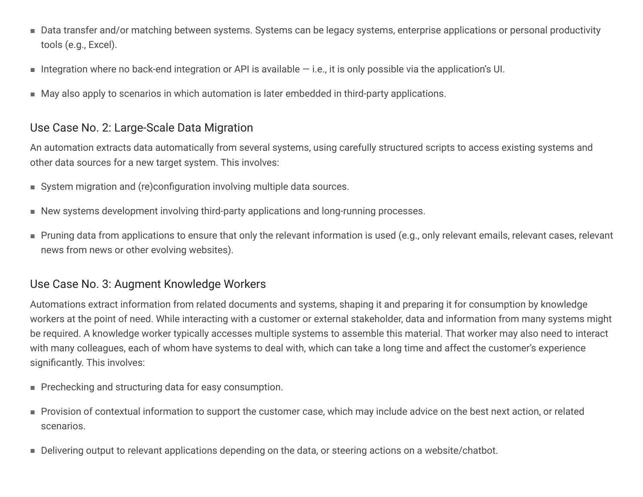- Data transfer and/or matching between systems. Systems can be legacy systems, enterprise applications or personal productivity tools (e.g., Excel).
- Integration where no back-end integration or API is available  $-$  i.e., it is only possible via the application's UI.
- May also apply to scenarios in which automation is later embedded in third-party applications.

## Use Case No. 2: Large-Scale Data Migration

An automation extracts data automatically from several systems, using carefully structured scripts to access existing systems and other data sources for a new target system. This involves:

- System migration and (re)configuration involving multiple data sources.
- New systems development involving third-party applications and long-running processes.
- $\blacksquare$  Pruning data from applications to ensure that only the relevant information is used (e.g., only relevant emails, relevant cases, relevant news from news or other evolving websites).

## Use Case No. 3: Augment Knowledge Workers

Automations extract information from related documents and systems, shaping it and preparing it for consumption by knowledge workers at the point of need. While interacting with a customer or external stakeholder, data and information from many systems might be required. A knowledge worker typically accesses multiple systems to assemble this material. That worker may also need to interact with many colleagues, each of whom have systems to deal with, which can take a long time and affect the customer's experience significantly. This involves:

- Prechecking and structuring data for easy consumption.
- Provision of contextual information to support the customer case, which may include advice on the best next action, or related scenarios.
- Delivering output to relevant applications depending on the data, or steering actions on a website/chatbot.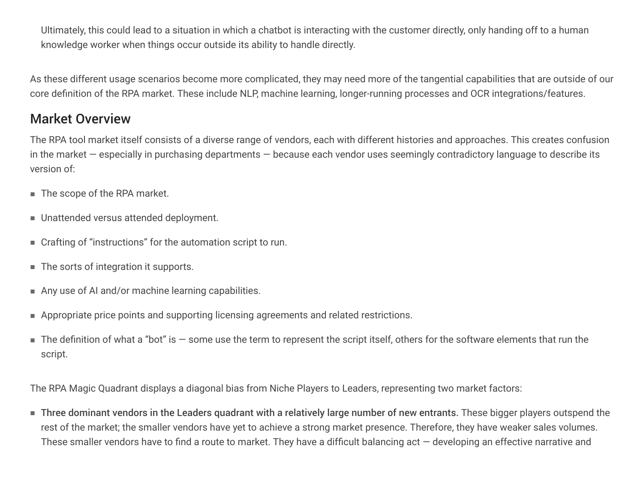Ultimately, this could lead to a situation in which a chatbot is interacting with the customer directly, only handing off to a human knowledge worker when things occur outside its ability to handle directly.

As these different usage scenarios become more complicated, they may need more of the tangential capabilities that are outside of our core definition of the RPA market. These include NLP, machine learning, longer-running processes and OCR integrations/features.

# **Market Overview**

The RPA tool market itself consists of a diverse range of vendors, each with different histories and approaches. This creates confusion in the market  $-$  especially in purchasing departments  $-$  because each vendor uses seemingly contradictory language to describe its version of:

- The scope of the RPA market.
- Unattended versus attended deployment.
- Crafting of "instructions" for the automation script to run.
- The sorts of integration it supports.
- Any use of AI and/or machine learning capabilities.
- Appropriate price points and supporting licensing agreements and related restrictions.
- $\blacksquare$  The definition of what a "bot" is some use the term to represent the script itself, others for the software elements that run the script.

The RPA Magic Quadrant displays a diagonal bias from Niche Players to Leaders, representing two market factors:

■ Three dominant vendors in the Leaders quadrant with a relatively large number of new entrants. These bigger players outspend the rest of the market; the smaller vendors have yet to achieve a strong market presence. Therefore, they have weaker sales volumes. These smaller vendors have to find a route to market. They have a difficult balancing  $act$  — developing an effective narrative and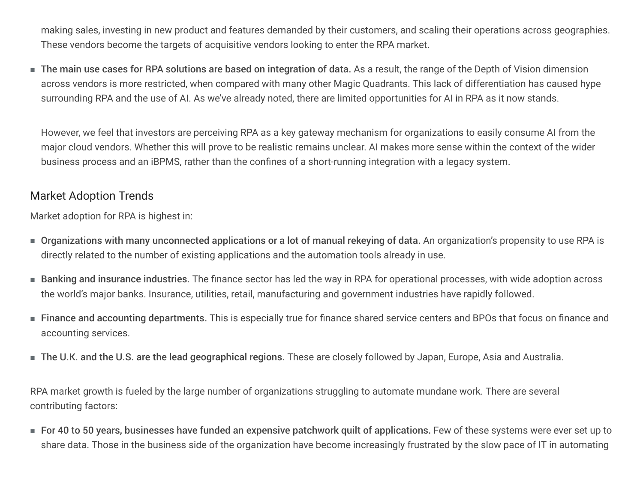making sales, investing in new product and features demanded by their customers, and scaling their operations across geographies. These vendors become the targets of acquisitive vendors looking to enter the RPA market.

■ The main use cases for RPA solutions are based on integration of data. As a result, the range of the Depth of Vision dimension across vendors is more restricted, when compared with many other Magic Quadrants. This lack of differentiation has caused hype surrounding RPA and the use of AI. As we've already noted, there are limited opportunities for AI in RPA as it now stands.

However, we feel that investors are perceiving RPA as a key gateway mechanism for organizations to easily consume AI from the major cloud vendors. Whether this will prove to be realistic remains unclear. AI makes more sense within the context of the wider business process and an iBPMS, rather than the confines of a short-running integration with a legacy system.

## **Market Adoption Trends**

Market adoption for RPA is highest in:

- $\blacksquare$  Organizations with many unconnected applications or a lot of manual rekeying of data. An organization's propensity to use RPA is directly related to the number of existing applications and the automation tools already in use.
- $\blacksquare$  Banking and insurance industries. The finance sector has led the way in RPA for operational processes, with wide adoption across the world's major banks. Insurance, utilities, retail, manufacturing and government industries have rapidly followed.
- $\blacksquare$  Finance and accounting departments. This is especially true for finance shared service centers and BPOs that focus on finance and accounting services.
- The U.K. and the U.S. are the lead geographical regions. These are closely followed by Japan, Europe, Asia and Australia.

RPA market growth is fueled by the large number of organizations struggling to automate mundane work. There are several contributing factors:

■ For 40 to 50 years, businesses have funded an expensive patchwork quilt of applications. Few of these systems were ever set up to share data. Those in the business side of the organization have become increasingly frustrated by the slow pace of IT in automating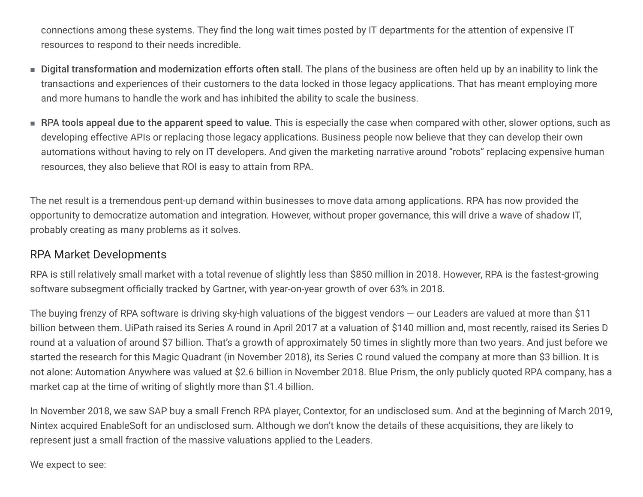connections among these systems. They find the long wait times posted by IT departments for the attention of expensive IT resources to respond to their needs incredible.

- Digital transformation and modernization efforts often stall. The plans of the business are often held up by an inability to link the transactions and experiences of their customers to the data locked in those legacy applications. That has meant employing more and more humans to handle the work and has inhibited the ability to scale the business.
- RPA tools appeal due to the apparent speed to value. This is especially the case when compared with other, slower options, such as developing effective APIs or replacing those legacy applications. Business people now believe that they can develop their own automations without having to rely on IT developers. And given the marketing narrative around "robots" replacing expensive human resources, they also believe that ROI is easy to attain from RPA.

The net result is a tremendous pent-up demand within businesses to move data among applications. RPA has now provided the opportunity to democratize automation and integration. However, without proper governance, this will drive a wave of shadow IT, probably creating as many problems as it solves.

## RPA Market Developments

RPA is still relatively small market with a total revenue of slightly less than \$850 million in 2018. However, RPA is the fastest-growing software subsegment officially tracked by Gartner, with year-on-year growth of over 63% in 2018.

The buying frenzy of RPA software is driving sky-high valuations of the biggest vendors  $-$  our Leaders are valued at more than \$11 billion between them. UiPath raised its Series A round in April 2017 at a valuation of \$140 million and, most recently, raised its Series D round at a valuation of around \$7 billion. That's a growth of approximately 50 times in slightly more than two years. And just before we started the research for this Magic Quadrant (in November 2018), its Series C round valued the company at more than \$3 billion. It is not alone: Automation Anywhere was valued at \$2.6 billion in November 2018. Blue Prism, the only publicly quoted RPA company, has a market cap at the time of writing of slightly more than \$1.4 billion.

In November 2018, we saw SAP buy a small French RPA player, Contextor, for an undisclosed sum. And at the beginning of March 2019, Nintex acquired EnableSoft for an undisclosed sum. Although we don't know the details of these acquisitions, they are likely to represent just a small fraction of the massive valuations applied to the Leaders.

We expect to see: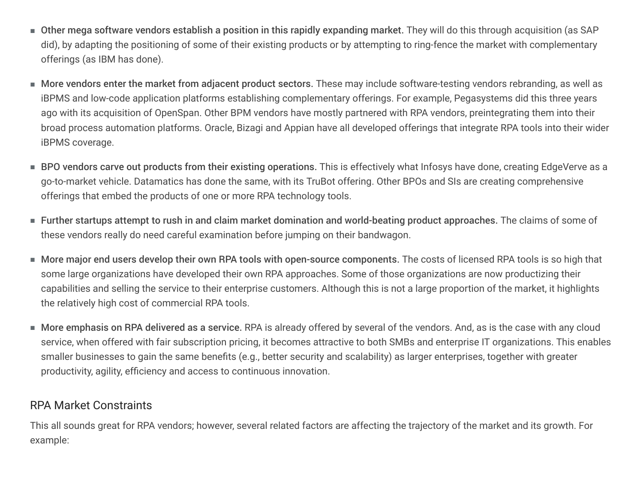- $\blacksquare$  Other mega software vendors establish a position in this rapidly expanding market. They will do this through acquisition (as SAP did), by adapting the positioning of some of their existing products or by attempting to ring-fence the market with complementary offerings (as IBM has done).
- More vendors enter the market from adjacent product sectors. These may include software-testing vendors rebranding, as well as iBPMS and low-code application platforms establishing complementary offerings. For example, Pegasystems did this three years ago with its acquisition of OpenSpan. Other BPM vendors have mostly partnered with RPA vendors, preintegrating them into their broad process automation platforms. Oracle, Bizagi and Appian have all developed offerings that integrate RPA tools into their wider iBPMS coverage.
- BPO vendors carve out products from their existing operations. This is effectively what Infosys have done, creating EdgeVerve as a go-to-market vehicle. Datamatics has done the same, with its TruBot offering. Other BPOs and SIs are creating comprehensive offerings that embed the products of one or more RPA technology tools.
- $\blacksquare$  Further startups attempt to rush in and claim market domination and world-beating product approaches. The claims of some of these vendors really do need careful examination before jumping on their bandwagon.
- $\blacksquare$  More major end users develop their own RPA tools with open-source components. The costs of licensed RPA tools is so high that some large organizations have developed their own RPA approaches. Some of those organizations are now productizing their capabilities and selling the service to their enterprise customers. Although this is not a large proportion of the market, it highlights the relatively high cost of commercial RPA tools.
- $\blacksquare$  More emphasis on RPA delivered as a service. RPA is already offered by several of the vendors. And, as is the case with any cloud service, when offered with fair subscription pricing, it becomes attractive to both SMBs and enterprise IT organizations. This enables smaller businesses to gain the same benefits (e.g., better security and scalability) as larger enterprises, together with greater productivity, agility, efficiency and access to continuous innovation.

## RPA Market Constraints

This all sounds great for RPA vendors; however, several related factors are affecting the trajectory of the market and its growth. For example: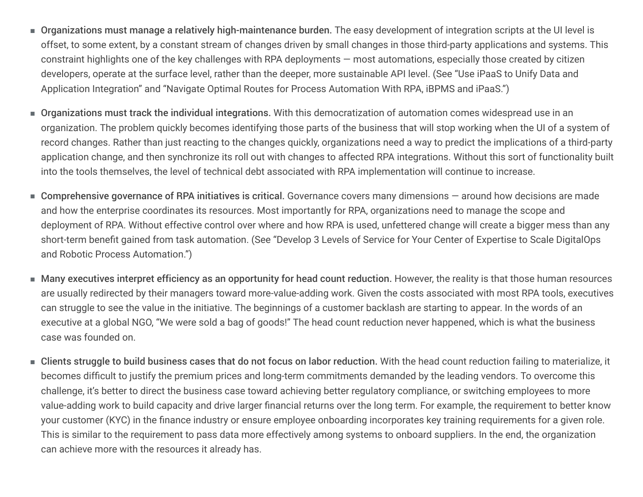- Organizations must manage a relatively high-maintenance burden. The easy development of integration scripts at the UI level is offset, to some extent, by a constant stream of changes driven by small changes in those third-party applications and systems. This constraint highlights one of the key challenges with RPA deployments  $-$  most automations, especially those created by citizen developers, operate at the surface level, rather than the deeper, more sustainable API level. (See "Use iPaaS to Unify Data and Application Integration" and "Navigate Optimal Routes for Process Automation With RPA, iBPMS and iPaaS.")
- Organizations must track the individual integrations. With this democratization of automation comes widespread use in an organization. The problem quickly becomes identifying those parts of the business that will stop working when the UI of a system of record changes. Rather than just reacting to the changes quickly, organizations need a way to predict the implications of a third-party application change, and then synchronize its roll out with changes to affected RPA integrations. Without this sort of functionality built into the tools themselves, the level of technical debt associated with RPA implementation will continue to increase.
- Comprehensive governance of RPA initiatives is critical. Governance covers many dimensions around how decisions are made and how the enterprise coordinates its resources. Most importantly for RPA, organizations need to manage the scope and deployment of RPA. Without effective control over where and how RPA is used, unfettered change will create a bigger mess than any short-term benefit gained from task automation. (See "Develop 3 Levels of Service for Your Center of Expertise to Scale DigitalOps and Robotic Process Automation.")
- $\blacksquare$  Many executives interpret efficiency as an opportunity for head count reduction. However, the reality is that those human resources are usually redirected by their managers toward more-value-adding work. Given the costs associated with most RPA tools, executives can struggle to see the value in the initiative. The beginnings of a customer backlash are starting to appear. In the words of an executive at a global NGO, "We were sold a bag of goods!" The head count reduction never happened, which is what the business case was founded on.
- $\blacksquare$  Clients struggle to build business cases that do not focus on labor reduction. With the head count reduction failing to materialize, it becomes difficult to justify the premium prices and long-term commitments demanded by the leading vendors. To overcome this challenge, it's better to direct the business case toward achieving better regulatory compliance, or switching employees to more value-adding work to build capacity and drive larger financial returns over the long term. For example, the requirement to better know your customer (KYC) in the finance industry or ensure employee onboarding incorporates key training requirements for a given role. This is similar to the requirement to pass data more effectively among systems to onboard suppliers. In the end, the organization can achieve more with the resources it already has.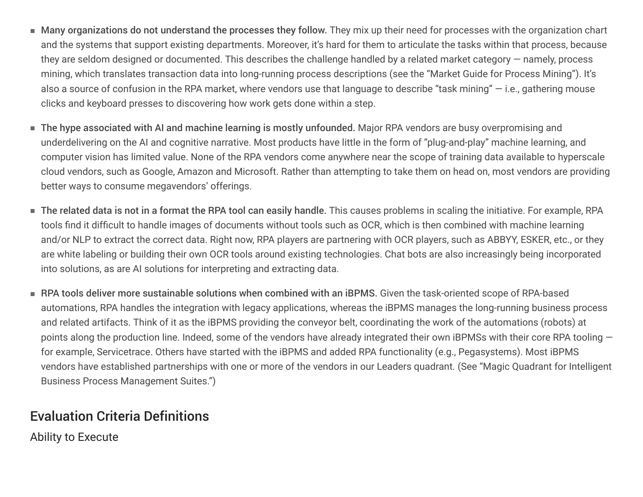- Many organizations do not understand the processes they follow. They mix up their need for processes with the organization chart and the systems that support existing departments. Moreover, it's hard for them to articulate the tasks within that process, because they are seldom designed or documented. This describes the challenge handled by a related market category  $-$  namely, process mining, which translates transaction data into long-running process descriptions (see the "Market Guide for Process Mining"). It's also a source of confusion in the RPA market, where vendors use that language to describe "task mining"  $-$  i.e., gathering mouse clicks and keyboard presses to discovering how work gets done within a step.
- The hype associated with AI and machine learning is mostly unfounded. Major RPA vendors are busy overpromising and underdelivering on the AI and cognitive narrative. Most products have little in the form of "plug-and-play" machine learning, and computer vision has limited value. None of the RPA vendors come anywhere near the scope of training data available to hyperscale cloud vendors, such as Google, Amazon and Microsoft. Rather than attempting to take them on head on, most vendors are providing better ways to consume megavendors' offerings.
- The related data is not in a format the RPA tool can easily handle. This causes problems in scaling the initiative. For example, RPA tools find it difficult to handle images of documents without tools such as OCR, which is then combined with machine learning and/or NLP to extract the correct data. Right now, RPA players are partnering with OCR players, such as ABBYY, ESKER, etc., or they are white labeling or building their own OCR tools around existing technologies. Chat bots are also increasingly being incorporated into solutions, as are AI solutions for interpreting and extracting data. ■
- $\blacksquare$  RPA tools deliver more sustainable solutions when combined with an iBPMS. Given the task-oriented scope of RPA-based automations, RPA handles the integration with legacy applications, whereas the iBPMS manages the long-running business process and related artifacts. Think of it as the iBPMS providing the conveyor belt, coordinating the work of the automations (robots) at points along the production line. Indeed, some of the vendors have already integrated their own iBPMSs with their core RPA tooling  $$ for example, Servicetrace. Others have started with the iBPMS and added RPA functionality (e.g., Pegasystems). Most iBPMS vendors have established partnerships with one or more of the vendors in our Leaders quadrant. (See "Magic Quadrant for Intelligent Business Process Management Suites.")

# Evaluation Criteria Definitions

Ability to Execute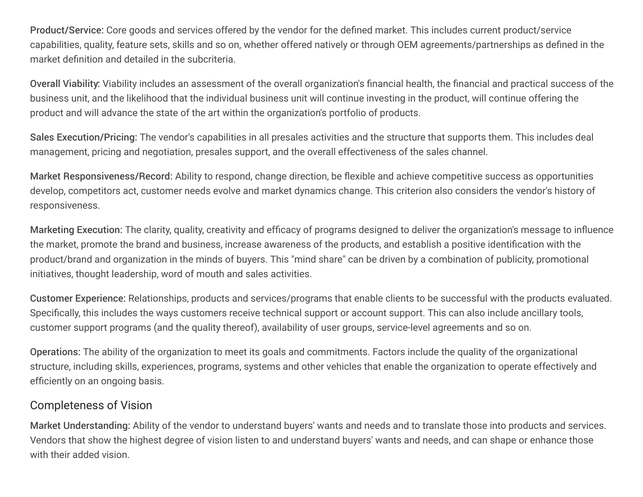Product/Service: Core goods and services offered by the vendor for the defined market. This includes current product/service capabilities, quality, feature sets, skills and so on, whether offered natively or through OEM agreements/partnerships as defined in the market definition and detailed in the subcriteria.

Overall Viability: Viability includes an assessment of the overall organization's financial health, the financial and practical success of the business unit, and the likelihood that the individual business unit will continue investing in the product, will continue offering the product and will advance the state of the art within the organization's portfolio of products.

Sales Execution/Pricing: The vendor's capabilities in all presales activities and the structure that supports them. This includes deal management, pricing and negotiation, presales support, and the overall effectiveness of the sales channel.

Market Responsiveness/Record: Ability to respond, change direction, be flexible and achieve competitive success as opportunities develop, competitors act, customer needs evolve and market dynamics change. This criterion also considers the vendor's history of responsiveness.

Marketing Execution: The clarity, quality, creativity and efficacy of programs designed to deliver the organization's message to influence the market, promote the brand and business, increase awareness of the products, and establish a positive identification with the product/brand and organization in the minds of buyers. This "mind share" can be driven by a combination of publicity, promotional initiatives, thought leadership, word of mouth and sales activities.

Customer Experience: Relationships, products and services/programs that enable clients to be successful with the products evaluated. Specifically, this includes the ways customers receive technical support or account support. This can also include ancillary tools, customer support programs (and the quality thereof), availability of user groups, service-level agreements and so on.

Operations: The ability of the organization to meet its goals and commitments. Factors include the quality of the organizational structure, including skills, experiences, programs, systems and other vehicles that enable the organization to operate effectively and efficiently on an ongoing basis.

## Completeness of Vision

Market Understanding: Ability of the vendor to understand buyers' wants and needs and to translate those into products and services. Vendors that show the highest degree of vision listen to and understand buyers' wants and needs, and can shape or enhance those with their added vision.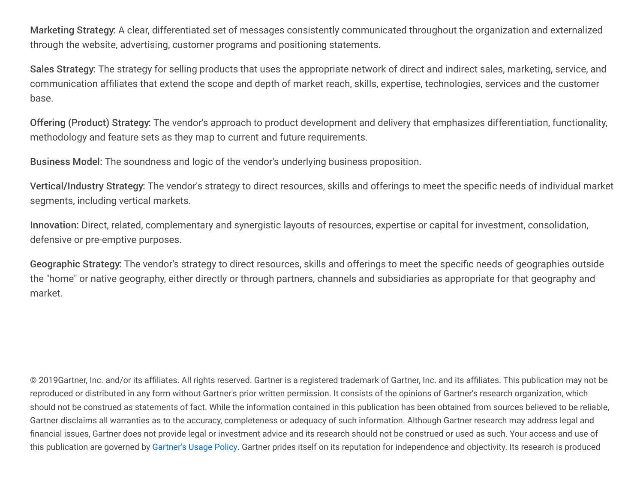Marketing Strategy: A clear, differentiated set of messages consistently communicated throughout the organization and externalized through the website, advertising, customer programs and positioning statements.

Sales Strategy: The strategy for selling products that uses the appropriate network of direct and indirect sales, marketing, service, and communication affiliates that extend the scope and depth of market reach, skills, expertise, technologies, services and the customer base.

Offering (Product) Strategy: The vendor's approach to product development and delivery that emphasizes differentiation, functionality, methodology and feature sets as they map to current and future requirements.

Business Model: The soundness and logic of the vendor's underlying business proposition.

Vertical/Industry Strategy: The vendor's strategy to direct resources, skills and offerings to meet the specific needs of individual market segments, including vertical markets.

Innovation: Direct, related, complementary and synergistic layouts of resources, expertise or capital for investment, consolidation, defensive or pre-emptive purposes.

Geographic Strategy: The vendor's strategy to direct resources, skills and offerings to meet the specific needs of geographies outside the "home" or native geography, either directly or through partners, channels and subsidiaries as appropriate for that geography and market.

© 2019Gartner, Inc. and/or its affiliates. All rights reserved. Gartner is a registered trademark of Gartner, Inc. and its affiliates. This publication may not be reproduced or distributed in any form without Gartner's prior written permission. It consists of the opinions of Gartner's research organization, which should not be construed as statements of fact. While the information contained in this publication has been obtained from sources believed to be reliable, Gartner disclaims all warranties as to the accuracy, completeness or adequacy of such information. Although Gartner research may address legal and financial issues, Gartner does not provide legal or investment advice and its research should not be construed or used as such. Your access and use of this publication are governed by Gartner's Usage Policy. Gartner prides itself on its reputation for independence and objectivity. Its research is produced